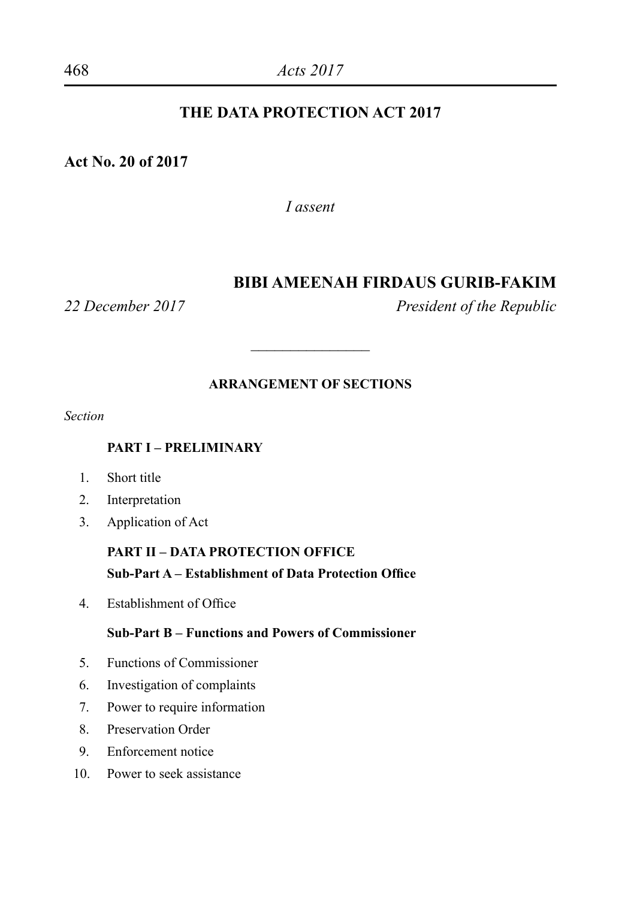#### **THE DATA PROTECTION ACT 2017**

#### **Act No. 20 of 2017**

*I assent*

#### **BIBI AMEENAH FIRDAUS GURIB-FAKIM**

*22 December 2017 President of the Republic*

#### **ARRANGEMENT OF SECTIONS**

 $\overline{\phantom{a}}$ 

*Section*

#### **PART I – PRELIMINARY**

- 1. Short title
- 2. Interpretation
- 3. Application of Act

#### **PART II – DATA PROTECTION OFFICE Sub-Part A – Establishment of Data Protection Office**

4. Establishment of Office

#### **Sub-Part B – Functions and Powers of Commissioner**

- 5. Functions of Commissioner
- 6. Investigation of complaints
- 7. Power to require information
- 8. Preservation Order
- 9. Enforcement notice
- 10. Power to seek assistance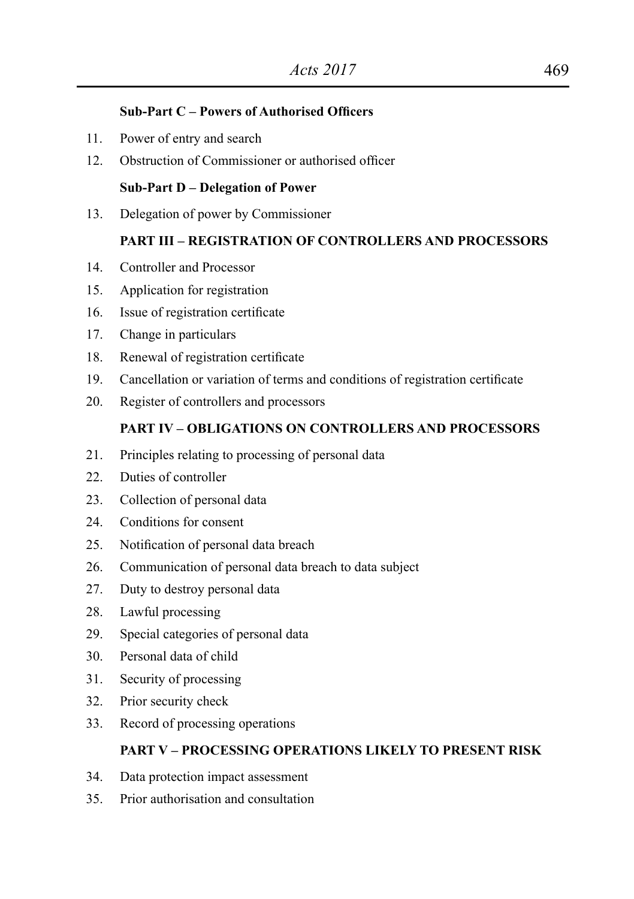#### **Sub-Part C – Powers of Authorised Officers**

- 11. Power of entry and search
- 12. Obstruction of Commissioner or authorised officer

#### **Sub-Part D – Delegation of Power**

13. Delegation of power by Commissioner

#### **PART III – REGISTRATION OF CONTROLLERS AND PROCESSORS**

- 14. Controller and Processor
- 15. Application for registration
- 16. Issue of registration certificate
- 17. Change in particulars
- 18. Renewal of registration certificate
- 19. Cancellation or variation of terms and conditions of registration certificate
- 20. Register of controllers and processors

#### **PART IV – OBLIGATIONS ON CONTROLLERS AND PROCESSORS**

- 21. Principles relating to processing of personal data
- 22. Duties of controller
- 23. Collection of personal data
- 24. Conditions for consent
- 25. Notification of personal data breach
- 26. Communication of personal data breach to data subject
- 27. Duty to destroy personal data
- 28. Lawful processing
- 29. Special categories of personal data
- 30. Personal data of child
- 31. Security of processing
- 32. Prior security check
- 33. Record of processing operations

#### **PART V – PROCESSING OPERATIONS LIKELY TO PRESENT RISK**

- 34. Data protection impact assessment
- 35. Prior authorisation and consultation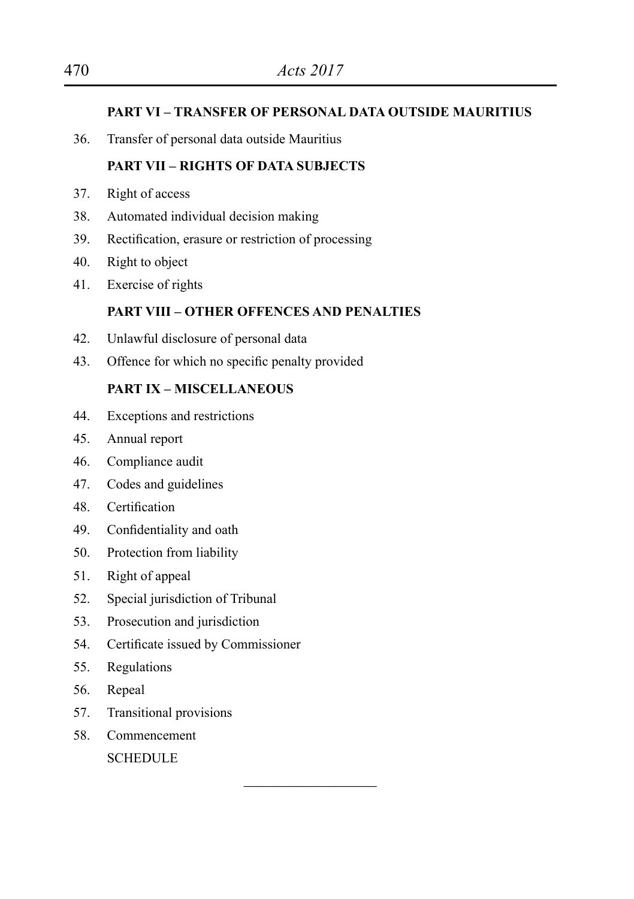#### **PART VI – TRANSFER OF PERSONAL DATA OUTSIDE MAURITIUS**

36. Transfer of personal data outside Mauritius

#### **PART VII – RIGHTS OF DATA SUBJECTS**

- 37. Right of access
- 38. Automated individual decision making
- 39. Rectification, erasure or restriction of processing
- 40. Right to object
- 41. Exercise of rights

#### **PART VIII – OTHER OFFENCES AND PENALTIES**

 $\overline{\phantom{a}}$  , where  $\overline{\phantom{a}}$ 

- 42. Unlawful disclosure of personal data
- 43. Offence for which no specific penalty provided

#### **PART IX – MISCELLANEOUS**

- 44. Exceptions and restrictions
- 45. Annual report
- 46. Compliance audit
- 47. Codes and guidelines
- 48. Certification
- 49. Confidentiality and oath
- 50. Protection from liability
- 51. Right of appeal
- 52. Special jurisdiction of Tribunal
- 53. Prosecution and jurisdiction
- 54. Certificate issued by Commissioner
- 55. Regulations
- 56. Repeal
- 57. Transitional provisions
- 58. Commencement

**SCHEDULE**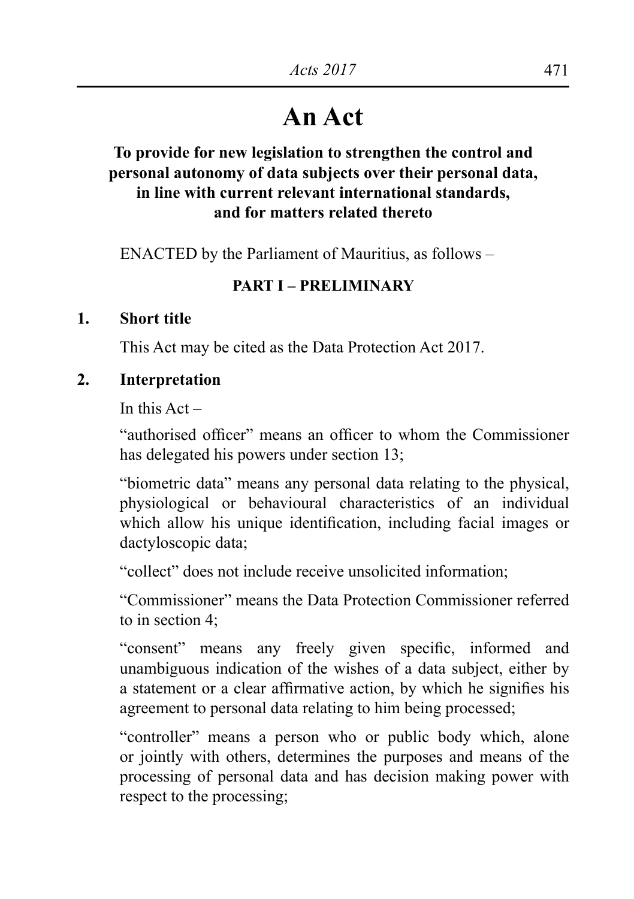# **An Act**

### **To provide for new legislation to strengthen the control and personal autonomy of data subjects over their personal data, in line with current relevant international standards, and for matters related thereto**

 ENACTED by the Parliament of Mauritius, as follows –

#### **PART I – PRELIMINARY**

#### **1. Short title**

This Act may be cited as the Data Protection Act 2017.

### **2. Interpretation**

In this  $\Delta ct =$ 

"authorised officer" means an officer to whom the Commissioner has delegated his powers under section 13;

"biometric data" means any personal data relating to the physical, physiological or behavioural characteristics of an individual which allow his unique identification, including facial images or dactyloscopic data;

"collect" does not include receive unsolicited information;

"Commissioner" means the Data Protection Commissioner referred to in section 4;

"consent" means any freely given specific, informed and unambiguous indication of the wishes of a data subject, either by a statement or a clear affirmative action, by which he signifies his agreement to personal data relating to him being processed;

"controller" means a person who or public body which, alone or jointly with others, determines the purposes and means of the processing of personal data and has decision making power with respect to the processing;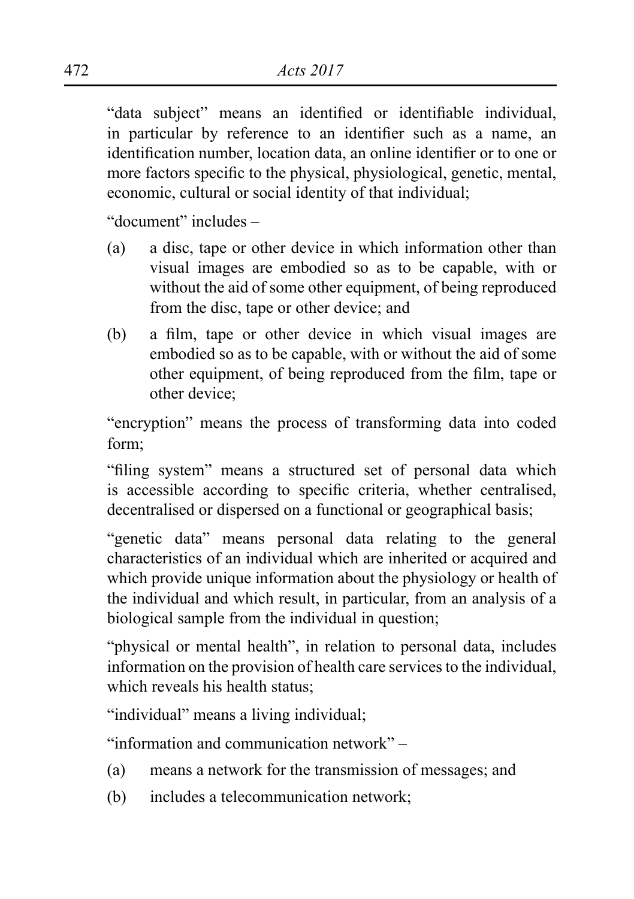"data subject" means an identified or identifiable individual, in particular by reference to an identifier such as a name, an identification number, location data, an online identifier or to one or more factors specific to the physical, physiological, genetic, mental, economic, cultural or social identity of that individual;

"document" includes –

- (a) a disc, tape or other device in which information other than visual images are embodied so as to be capable, with or without the aid of some other equipment, of being reproduced from the disc, tape or other device; and
- (b) a film, tape or other device in which visual images are embodied so as to be capable, with or without the aid of some other equipment, of being reproduced from the film, tape or other device;

"encryption" means the process of transforming data into coded form;

"filing system" means a structured set of personal data which is accessible according to specific criteria, whether centralised, decentralised or dispersed on a functional or geographical basis;

"genetic data" means personal data relating to the general characteristics of an individual which are inherited or acquired and which provide unique information about the physiology or health of the individual and which result, in particular, from an analysis of a biological sample from the individual in question;

"physical or mental health", in relation to personal data, includes information on the provision of health care services to the individual, which reveals his health status;

"individual" means a living individual;

"information and communication network" –

- (a) means a network for the transmission of messages; and
- (b) includes a telecommunication network;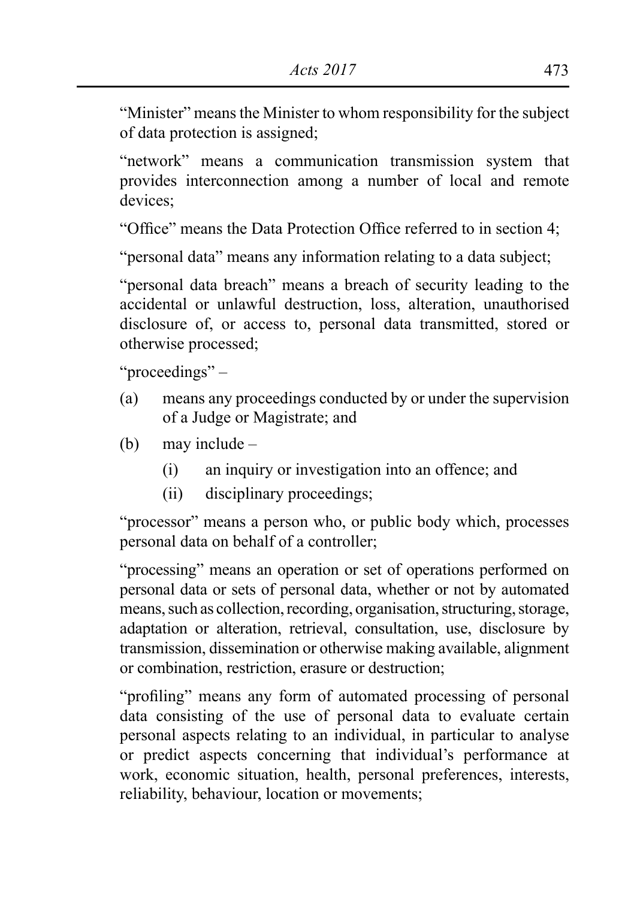"Minister" means the Minister to whom responsibility for the subject of data protection is assigned;

"network" means a communication transmission system that provides interconnection among a number of local and remote devices;

"Office" means the Data Protection Office referred to in section 4;

"personal data" means any information relating to a data subject;

"personal data breach" means a breach of security leading to the accidental or unlawful destruction, loss, alteration, unauthorised disclosure of, or access to, personal data transmitted, stored or otherwise processed;

"proceedings" –

- (a) means any proceedings conducted by or under the supervision of a Judge or Magistrate; and
- (b) may include  $-$ 
	- (i) an inquiry or investigation into an offence; and
	- (ii) disciplinary proceedings;

"processor" means a person who, or public body which, processes personal data on behalf of a controller;

"processing" means an operation or set of operations performed on personal data or sets of personal data, whether or not by automated means, such as collection, recording, organisation, structuring, storage, adaptation or alteration, retrieval, consultation, use, disclosure by transmission, dissemination or otherwise making available, alignment or combination, restriction, erasure or destruction;

"profiling" means any form of automated processing of personal data consisting of the use of personal data to evaluate certain personal aspects relating to an individual, in particular to analyse or predict aspects concerning that individual's performance at work, economic situation, health, personal preferences, interests, reliability, behaviour, location or movements;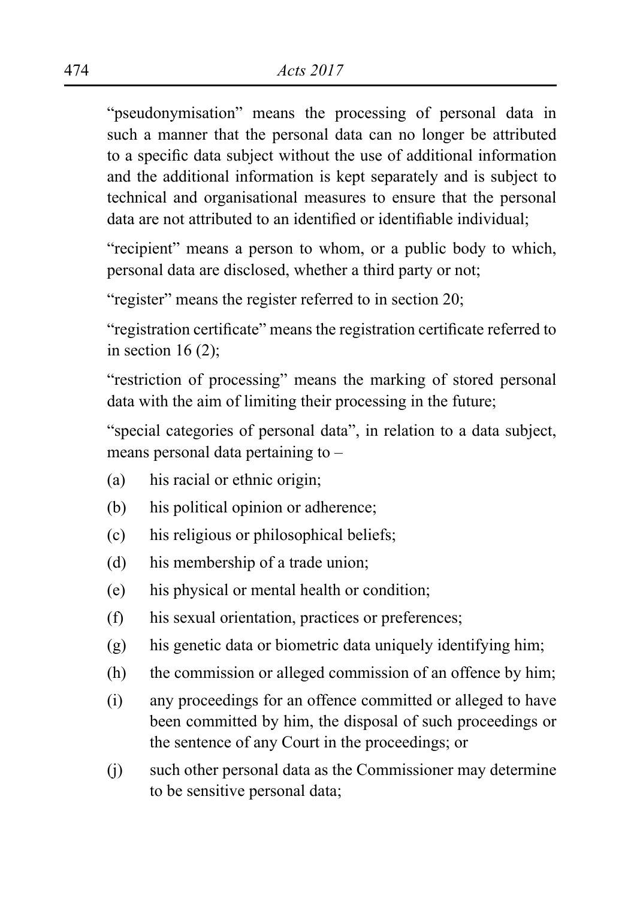"pseudonymisation" means the processing of personal data in such a manner that the personal data can no longer be attributed to a specific data subject without the use of additional information and the additional information is kept separately and is subject to technical and organisational measures to ensure that the personal data are not attributed to an identified or identifiable individual;

"recipient" means a person to whom, or a public body to which, personal data are disclosed, whether a third party or not;

"register" means the register referred to in section 20;

"registration certificate" means the registration certificate referred to in section  $16(2)$ ;

"restriction of processing" means the marking of stored personal data with the aim of limiting their processing in the future;

"special categories of personal data", in relation to a data subject, means personal data pertaining to –

- (a) his racial or ethnic origin;
- (b) his political opinion or adherence;
- (c) his religious or philosophical beliefs;
- (d) his membership of a trade union;
- (e) his physical or mental health or condition;
- (f) his sexual orientation, practices or preferences;
- (g) his genetic data or biometric data uniquely identifying him;
- (h) the commission or alleged commission of an offence by him;
- (i) any proceedings for an offence committed or alleged to have been committed by him, the disposal of such proceedings or the sentence of any Court in the proceedings; or
- (j) such other personal data as the Commissioner may determine to be sensitive personal data;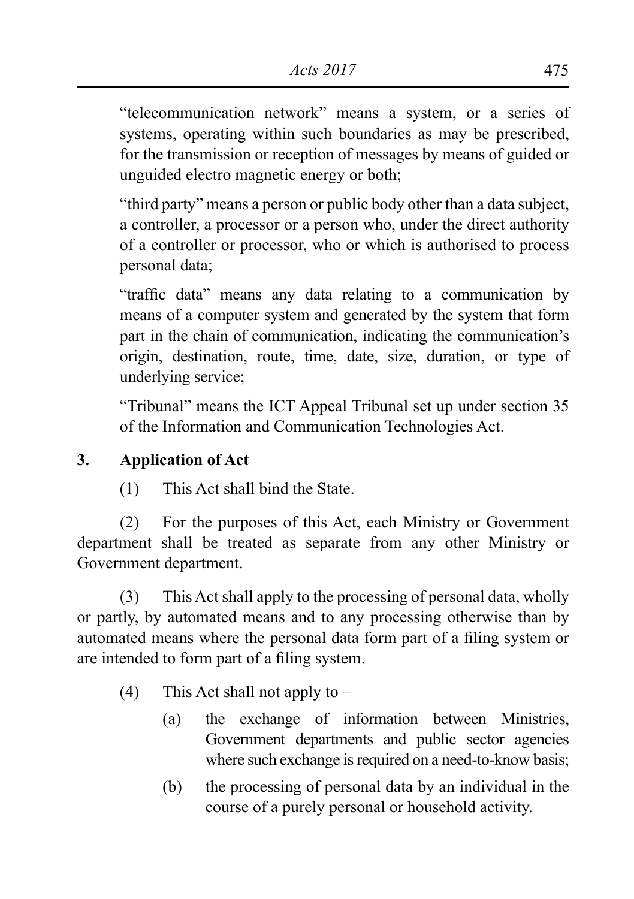"telecommunication network" means a system, or a series of systems, operating within such boundaries as may be prescribed, for the transmission or reception of messages by means of guided or unguided electro magnetic energy or both;

"third party" means a person or public body other than a data subject, a controller, a processor or a person who, under the direct authority of a controller or processor, who or which is authorised to process personal data;

"traffic data" means any data relating to a communication by means of a computer system and generated by the system that form part in the chain of communication, indicating the communication's origin, destination, route, time, date, size, duration, or type of underlying service;

"Tribunal" means the ICT Appeal Tribunal set up under section 35 of the Information and Communication Technologies Act.

# **3. Application of Act**

(1) This Act shall bind the State.

 (2) For the purposes of this Act, each Ministry or Government department shall be treated as separate from any other Ministry or Government department.

 (3) This Act shall apply to the processing of personal data, wholly or partly, by automated means and to any processing otherwise than by automated means where the personal data form part of a filing system or are intended to form part of a filing system.

- (4) This Act shall not apply to  $-$ 
	- (a) the exchange of information between Ministries, Government departments and public sector agencies where such exchange is required on a need-to-know basis;
	- (b) the processing of personal data by an individual in the course of a purely personal or household activity.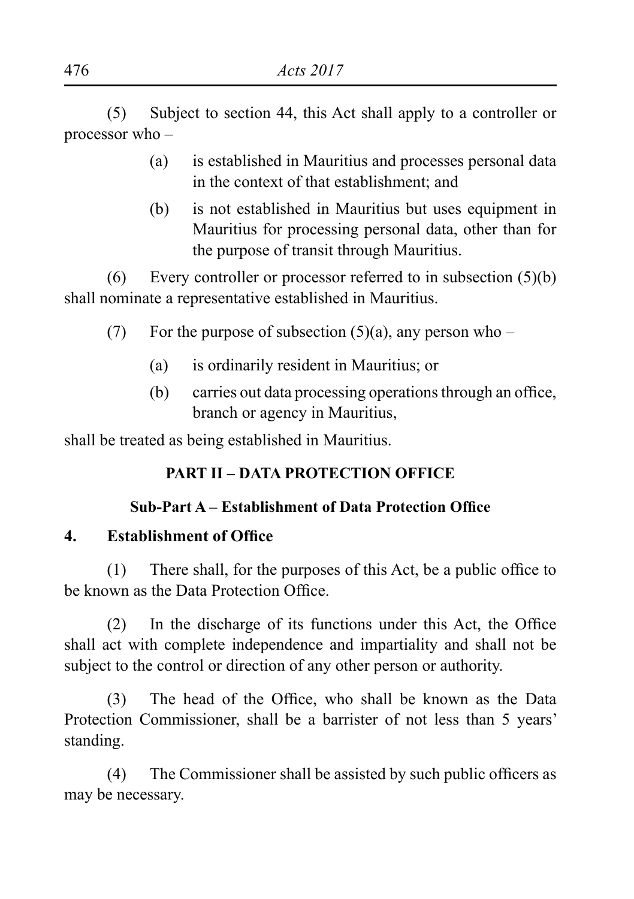(5) Subject to section 44, this Act shall apply to a controller or processor who –

- (a) is established in Mauritius and processes personal data in the context of that establishment; and
- (b) is not established in Mauritius but uses equipment in Mauritius for processing personal data, other than for the purpose of transit through Mauritius.

(6) Every controller or processor referred to in subsection  $(5)(b)$ shall nominate a representative established in Mauritius.

- (7) For the purpose of subsection (5)(a), any person who
	- (a) is ordinarily resident in Mauritius; or
	- (b) carries out data processing operations through an office, branch or agency in Mauritius,

shall be treated as being established in Mauritius.

# **PART II – DATA PROTECTION OFFICE**

# **Sub-Part A – Establishment of Data Protection Office**

# **4. Establishment of Office**

(1) There shall, for the purposes of this Act, be a public office to be known as the Data Protection Office.

 (2) In the discharge of its functions under this Act, the Office shall act with complete independence and impartiality and shall not be subject to the control or direction of any other person or authority.

 (3) The head of the Office, who shall be known as the Data Protection Commissioner, shall be a barrister of not less than 5 years' standing.

 (4) The Commissioner shall be assisted by such public officers as may be necessary.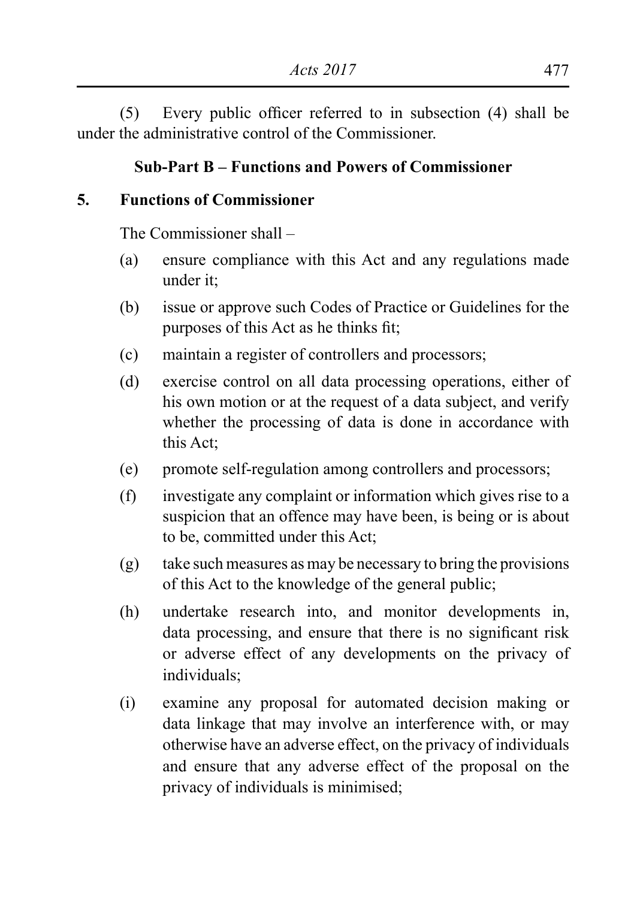(5) Every public officer referred to in subsection (4) shall be under the administrative control of the Commissioner.

### **Sub-Part B – Functions and Powers of Commissioner**

#### **5. Functions of Commissioner**

The Commissioner shall –

- (a) ensure compliance with this Act and any regulations made under it;
- (b) issue or approve such Codes of Practice or Guidelines for the purposes of this Act as he thinks fit;
- (c) maintain a register of controllers and processors;
- (d) exercise control on all data processing operations, either of his own motion or at the request of a data subject, and verify whether the processing of data is done in accordance with this Act;
- (e) promote self-regulation among controllers and processors;
- (f) investigate any complaint or information which gives rise to a suspicion that an offence may have been, is being or is about to be, committed under this Act;
- (g) take such measures as may be necessary to bring the provisions of this Act to the knowledge of the general public;
- (h) undertake research into, and monitor developments in, data processing, and ensure that there is no significant risk or adverse effect of any developments on the privacy of individuals;
- (i) examine any proposal for automated decision making or data linkage that may involve an interference with, or may otherwise have an adverse effect, on the privacy of individuals and ensure that any adverse effect of the proposal on the privacy of individuals is minimised;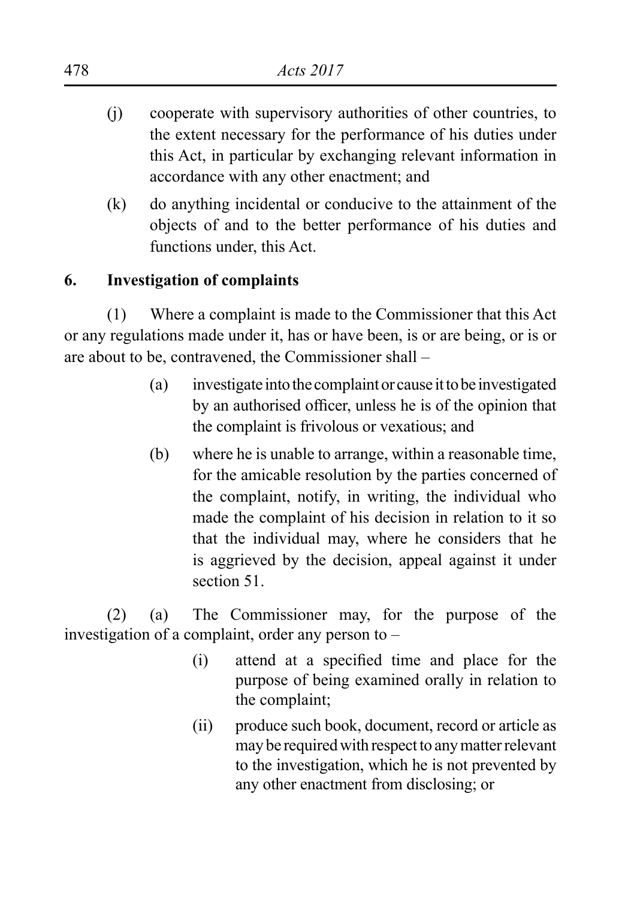- (i) cooperate with supervisory authorities of other countries, to the extent necessary for the performance of his duties under this Act, in particular by exchanging relevant information in accordance with any other enactment; and
- (k) do anything incidental or conducive to the attainment of the objects of and to the better performance of his duties and functions under, this Act.

# **6. Investigation of complaints**

(1) Where a complaint is made to the Commissioner that this Act or any regulations made under it, has or have been, is or are being, or is or are about to be, contravened, the Commissioner shall –

- (a) investigate into the complaint or cause it to be investigated by an authorised officer, unless he is of the opinion that the complaint is frivolous or vexatious; and
- (b) where he is unable to arrange, within a reasonable time, for the amicable resolution by the parties concerned of the complaint, notify, in writing, the individual who made the complaint of his decision in relation to it so that the individual may, where he considers that he is aggrieved by the decision, appeal against it under section 51.

(2) (a) The Commissioner may, for the purpose of the investigation of a complaint, order any person to –

- (i) attend at a specified time and place for the purpose of being examined orally in relation to the complaint;
- (ii) produce such book, document, record or article as may be required with respect to any matter relevant to the investigation, which he is not prevented by any other enactment from disclosing; or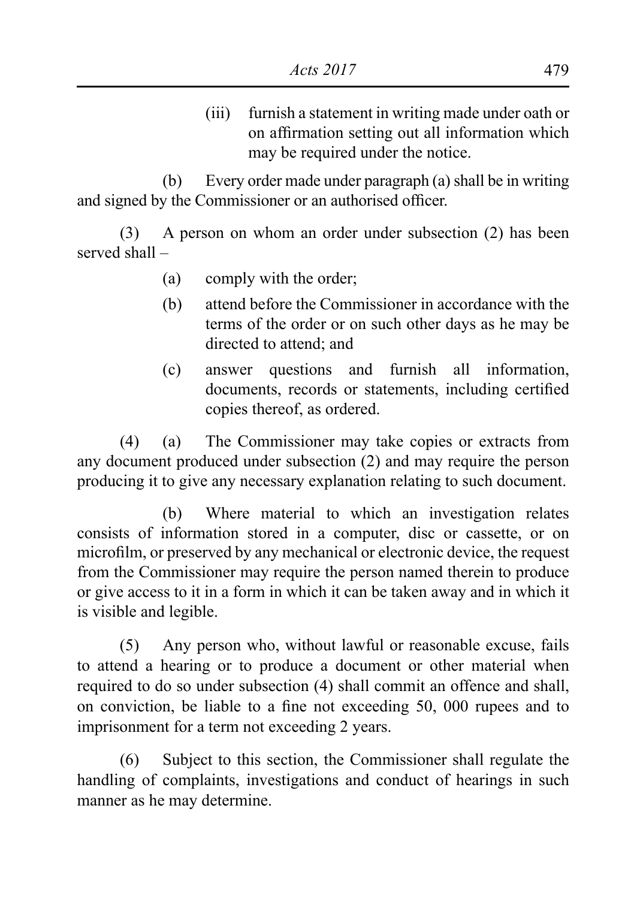(iii) furnish a statement in writing made under oath or on affirmation setting out all information which may be required under the notice.

 (b) Every order made under paragraph (a) shall be in writing and signed by the Commissioner or an authorised officer.

(3) A person on whom an order under subsection (2) has been served shall –

- (a) comply with the order;
- (b) attend before the Commissioner in accordance with the terms of the order or on such other days as he may be directed to attend: and
- (c) answer questions and furnish all information, documents, records or statements, including certified copies thereof, as ordered.

(4) (a) The Commissioner may take copies or extracts from any document produced under subsection (2) and may require the person producing it to give any necessary explanation relating to such document.

 (b) Where material to which an investigation relates consists of information stored in a computer, disc or cassette, or on microfilm, or preserved by any mechanical or electronic device, the request from the Commissioner may require the person named therein to produce or give access to it in a form in which it can be taken away and in which it is visible and legible.

(5) Any person who, without lawful or reasonable excuse, fails to attend a hearing or to produce a document or other material when required to do so under subsection (4) shall commit an offence and shall, on conviction, be liable to a fine not exceeding 50, 000 rupees and to imprisonment for a term not exceeding 2 years.

 (6) Subject to this section, the Commissioner shall regulate the handling of complaints, investigations and conduct of hearings in such manner as he may determine.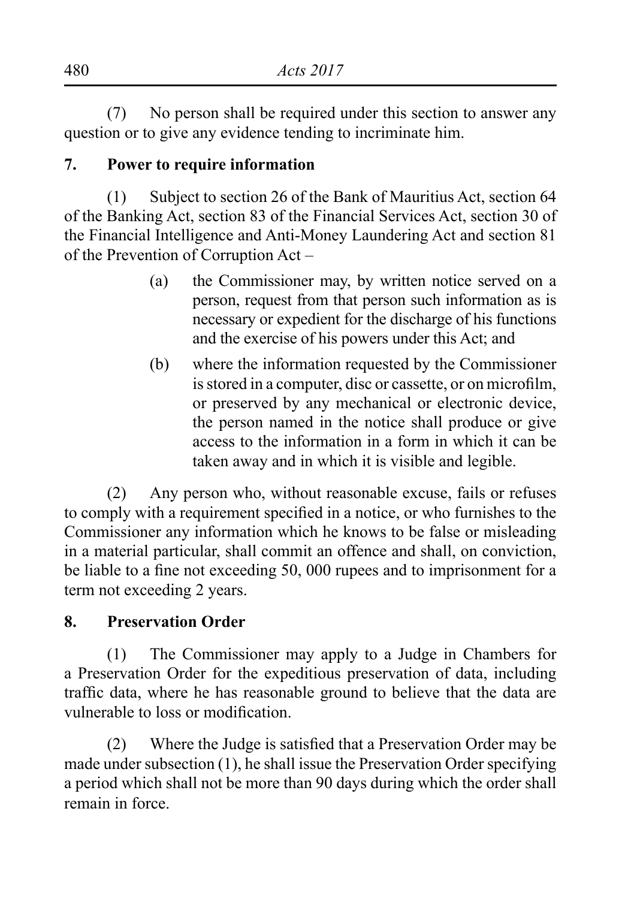(7) No person shall be required under this section to answer any question or to give any evidence tending to incriminate him.

### **7. Power to require information**

 $(1)$  Subject to section 26 of the Bank of Mauritius Act, section 64 of the Banking Act, section 83 of the Financial Services Act, section 30 of the Financial Intelligence and Anti-Money Laundering Act and section 81 of the Prevention of Corruption Act –

- (a) the Commissioner may, by written notice served on a person, request from that person such information as is necessary or expedient for the discharge of his functions and the exercise of his powers under this Act; and
- (b) where the information requested by the Commissioner is stored in a computer, disc or cassette, or on microfilm, or preserved by any mechanical or electronic device, the person named in the notice shall produce or give access to the information in a form in which it can be taken away and in which it is visible and legible.

 (2) Any person who, without reasonable excuse, fails or refuses to comply with a requirement specified in a notice, or who furnishes to the Commissioner any information which he knows to be false or misleading in a material particular, shall commit an offence and shall, on conviction, be liable to a fine not exceeding 50, 000 rupees and to imprisonment for a term not exceeding 2 years.

# **8. Preservation Order**

(1) The Commissioner may apply to a Judge in Chambers for a Preservation Order for the expeditious preservation of data, including traffic data, where he has reasonable ground to believe that the data are vulnerable to loss or modification.

 (2) Where the Judge is satisfied that a Preservation Order may be made under subsection (1), he shall issue the Preservation Order specifying a period which shall not be more than 90 days during which the order shall remain in force.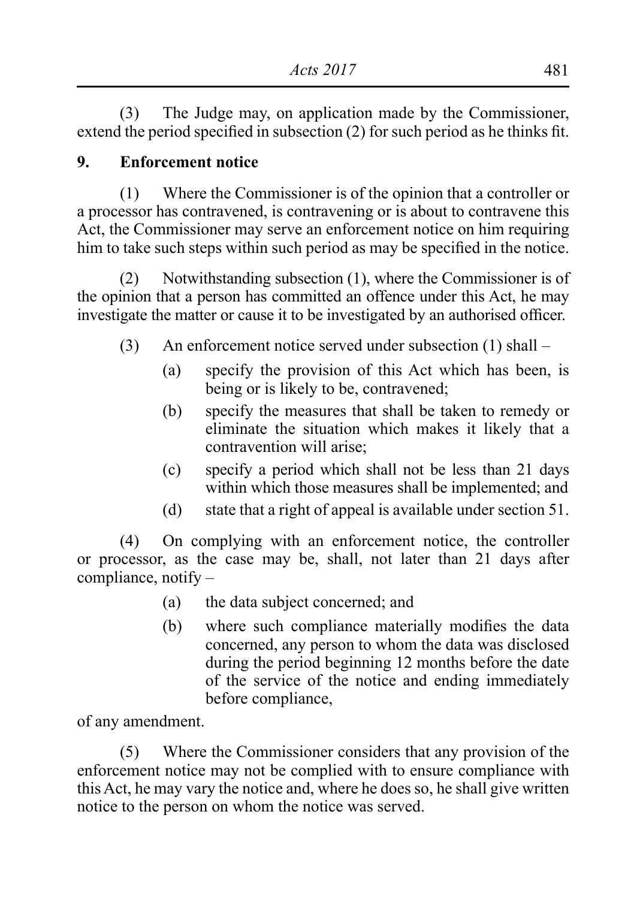(3) The Judge may, on application made by the Commissioner, extend the period specified in subsection (2) for such period as he thinks fit.

### **9. Enforcement notice**

(1) Where the Commissioner is of the opinion that a controller or a processor has contravened, is contravening or is about to contravene this Act, the Commissioner may serve an enforcement notice on him requiring him to take such steps within such period as may be specified in the notice.

 (2) Notwithstanding subsection (1), where the Commissioner is of the opinion that a person has committed an offence under this Act, he may investigate the matter or cause it to be investigated by an authorised officer.

- $(3)$  An enforcement notice served under subsection  $(1)$  shall
	- (a) specify the provision of this Act which has been, is being or is likely to be, contravened;
	- (b) specify the measures that shall be taken to remedy or eliminate the situation which makes it likely that a contravention will arise;
	- (c) specify a period which shall not be less than 21 days within which those measures shall be implemented; and
	- (d) state that a right of appeal is available under section 51.

 (4) On complying with an enforcement notice, the controller or processor, as the case may be, shall, not later than 21 days after compliance, notify –

- (a) the data subject concerned; and
- (b) where such compliance materially modifies the data concerned, any person to whom the data was disclosed during the period beginning 12 months before the date of the service of the notice and ending immediately before compliance,

of any amendment.

(5) Where the Commissioner considers that any provision of the enforcement notice may not be complied with to ensure compliance with this Act, he may vary the notice and, where he does so, he shall give written notice to the person on whom the notice was served.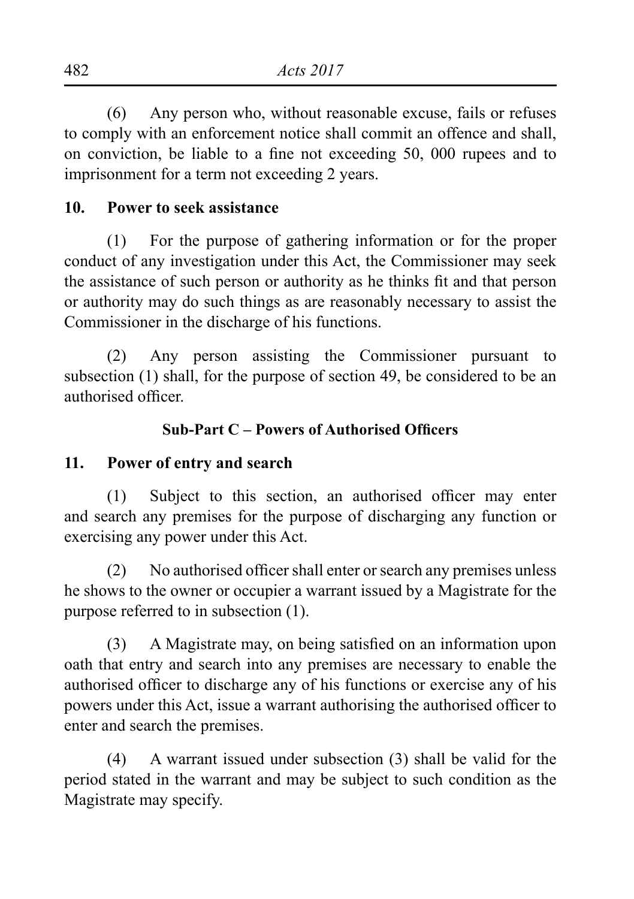(6) Any person who, without reasonable excuse, fails or refuses to comply with an enforcement notice shall commit an offence and shall, on conviction, be liable to a fine not exceeding 50, 000 rupees and to imprisonment for a term not exceeding 2 years.

### **10. Power to seek assistance**

(1) For the purpose of gathering information or for the proper conduct of any investigation under this Act, the Commissioner may seek the assistance of such person or authority as he thinks fit and that person or authority may do such things as are reasonably necessary to assist the Commissioner in the discharge of his functions.

(2) Any person assisting the Commissioner pursuant to subsection (1) shall, for the purpose of section 49, be considered to be an authorised officer.

### **Sub-Part C – Powers of Authorised Officers**

#### **11. Power of entry and search**

 (1) Subject to this section, an authorised officer may enter and search any premises for the purpose of discharging any function or exercising any power under this Act.

(2) No authorised officer shall enter or search any premises unless he shows to the owner or occupier a warrant issued by a Magistrate for the purpose referred to in subsection (1).

 (3) A Magistrate may, on being satisfied on an information upon oath that entry and search into any premises are necessary to enable the authorised officer to discharge any of his functions or exercise any of his powers under this Act, issue a warrant authorising the authorised officer to enter and search the premises.

(4) A warrant issued under subsection (3) shall be valid for the period stated in the warrant and may be subject to such condition as the Magistrate may specify.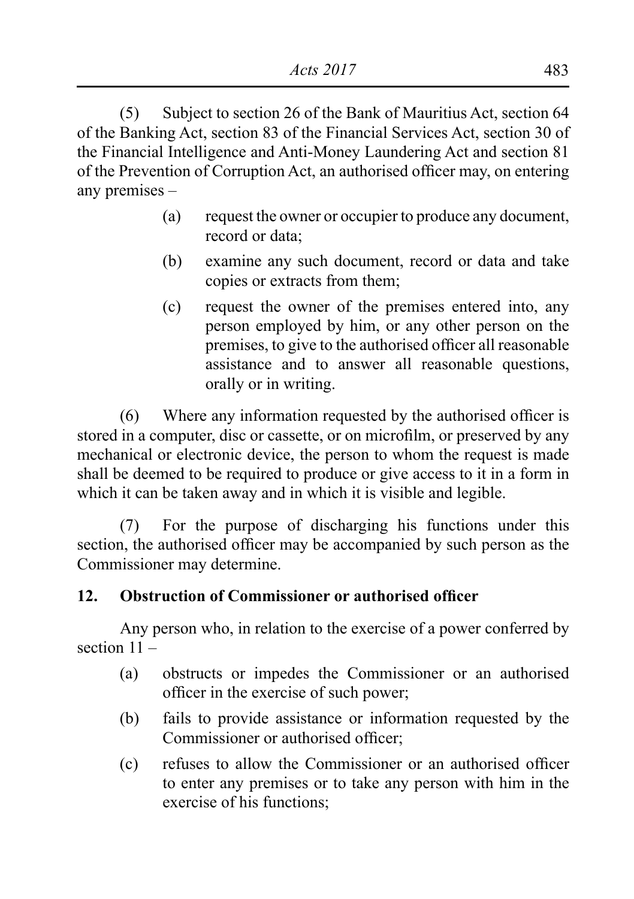(5) Subject to section 26 of the Bank of Mauritius Act, section 64 of the Banking Act, section 83 of the Financial Services Act, section 30 of the Financial Intelligence and Anti-Money Laundering Act and section 81 of the Prevention of Corruption Act, an authorised officer may, on entering any premises –

- (a) request the owner or occupier to produce any document, record or data;
- (b) examine any such document, record or data and take copies or extracts from them;
- (c) request the owner of the premises entered into, any person employed by him, or any other person on the premises, to give to the authorised officer all reasonable assistance and to answer all reasonable questions, orally or in writing.

 (6) Where any information requested by the authorised officer is stored in a computer, disc or cassette, or on microfilm, or preserved by any mechanical or electronic device, the person to whom the request is made shall be deemed to be required to produce or give access to it in a form in which it can be taken away and in which it is visible and legible.

(7) For the purpose of discharging his functions under this section, the authorised officer may be accompanied by such person as the Commissioner may determine.

# **12. Obstruction of Commissioner or authorised officer**

 Any person who, in relation to the exercise of a power conferred by section 11 –

- (a) obstructs or impedes the Commissioner or an authorised officer in the exercise of such power;
- (b) fails to provide assistance or information requested by the Commissioner or authorised officer;
- (c) refuses to allow the Commissioner or an authorised officer to enter any premises or to take any person with him in the exercise of his functions;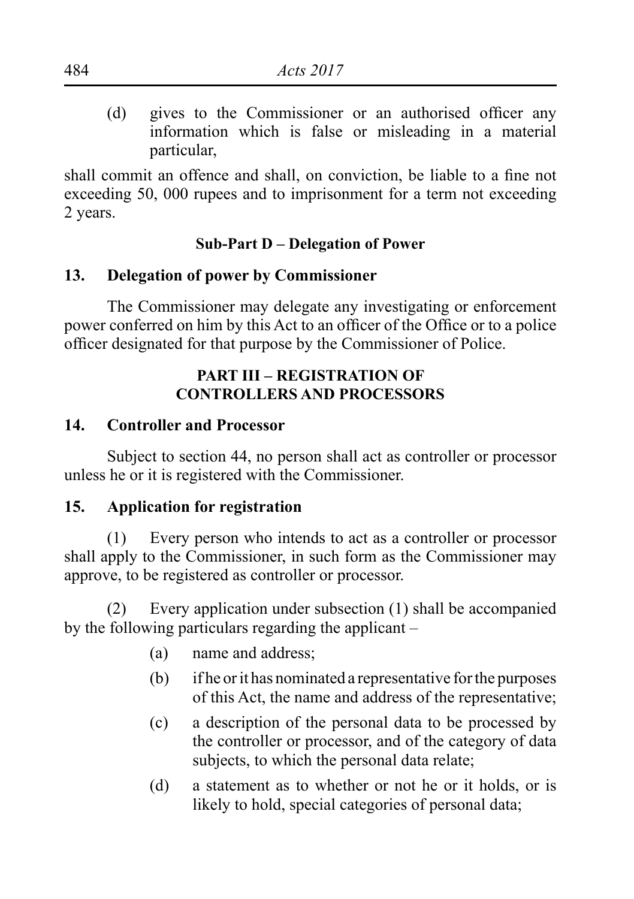(d) gives to the Commissioner or an authorised officer any information which is false or misleading in a material particular,

shall commit an offence and shall, on conviction, be liable to a fine not exceeding 50, 000 rupees and to imprisonment for a term not exceeding 2 years.

#### **Sub-Part D – Delegation of Power**

### **13. Delegation of power by Commissioner**

The Commissioner may delegate any investigating or enforcement power conferred on him by this Act to an officer of the Office or to a police officer designated for that purpose by the Commissioner of Police.

### **PART III – REGISTRATION OF CONTROLLERS AND PROCESSORS**

### **14. Controller and Processor**

 Subject to section 44, no person shall act as controller or processor unless he or it is registered with the Commissioner.

### **15. Application for registration**

(1) Every person who intends to act as a controller or processor shall apply to the Commissioner, in such form as the Commissioner may approve, to be registered as controller or processor.

(2) Every application under subsection (1) shall be accompanied by the following particulars regarding the applicant –

- (a) name and address;
- (b) if he or it has nominated a representative for the purposes of this Act, the name and address of the representative;
- (c) a description of the personal data to be processed by the controller or processor, and of the category of data subjects, to which the personal data relate;
- (d) a statement as to whether or not he or it holds, or is likely to hold, special categories of personal data;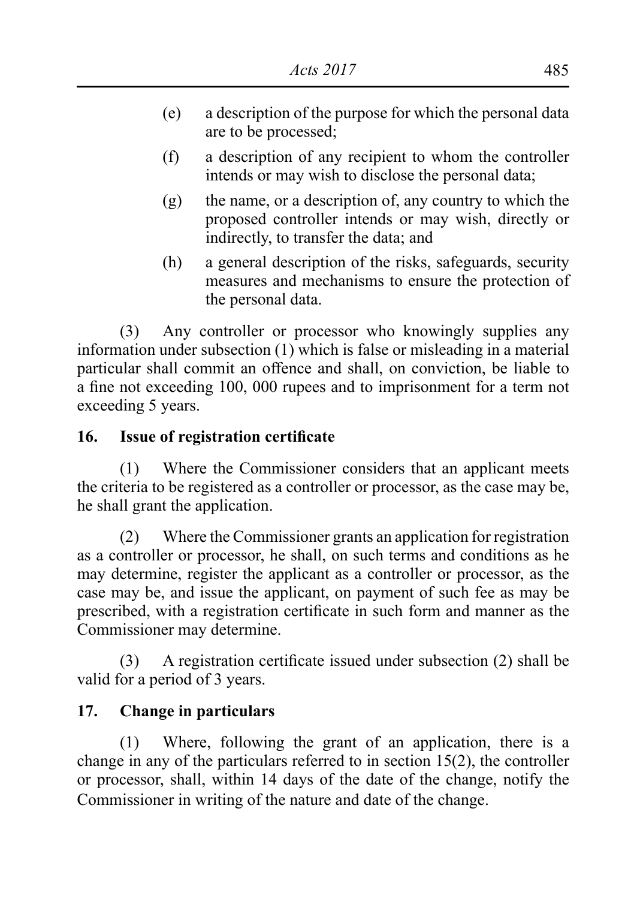- (e) a description of the purpose for which the personal data are to be processed;
- (f) a description of any recipient to whom the controller intends or may wish to disclose the personal data;
- $(g)$  the name, or a description of, any country to which the proposed controller intends or may wish, directly or indirectly, to transfer the data; and
- (h) a general description of the risks, safeguards, security measures and mechanisms to ensure the protection of the personal data.

(3) Any controller or processor who knowingly supplies any information under subsection (1) which is false or misleading in a material particular shall commit an offence and shall, on conviction, be liable to a fine not exceeding 100, 000 rupees and to imprisonment for a term not exceeding 5 years.

# **16. Issue of registration certificate**

(1) Where the Commissioner considers that an applicant meets the criteria to be registered as a controller or processor, as the case may be, he shall grant the application.

(2) Where the Commissioner grants an application for registration as a controller or processor, he shall, on such terms and conditions as he may determine, register the applicant as a controller or processor, as the case may be, and issue the applicant, on payment of such fee as may be prescribed, with a registration certificate in such form and manner as the Commissioner may determine.

 (3) A registration certificate issued under subsection (2) shall be valid for a period of 3 years.

# **17. Change in particulars**

 (1) Where, following the grant of an application, there is a change in any of the particulars referred to in section 15(2), the controller or processor, shall, within 14 days of the date of the change, notify the Commissioner in writing of the nature and date of the change.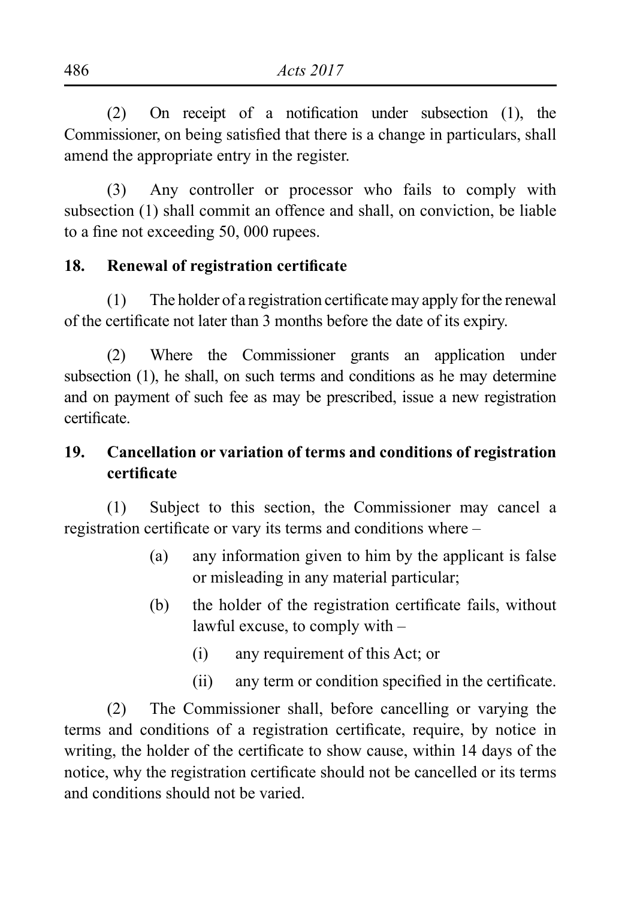(2) On receipt of a notification under subsection (1), the Commissioner, on being satisfied that there is a change in particulars, shall amend the appropriate entry in the register.

(3) Any controller or processor who fails to comply with subsection (1) shall commit an offence and shall, on conviction, be liable to a fine not exceeding 50, 000 rupees.

#### **18. Renewal of registration certificate**

 $(1)$  The holder of a registration certificate may apply for the renewal of the certificate not later than 3 months before the date of its expiry.

(2) Where the Commissioner grants an application under subsection (1), he shall, on such terms and conditions as he may determine and on payment of such fee as may be prescribed, issue a new registration certificate.

# **19. Cancellation or variation of terms and conditions of registration certificate**

 (1) Subject to this section, the Commissioner may cancel a registration certificate or vary its terms and conditions where –

- (a) any information given to him by the applicant is false or misleading in any material particular;
- (b) the holder of the registration certificate fails, without lawful excuse, to comply with –
	- (i) any requirement of this Act; or
	- (ii) any term or condition specified in the certificate.

 (2) The Commissioner shall, before cancelling or varying the terms and conditions of a registration certificate, require, by notice in writing, the holder of the certificate to show cause, within 14 days of the notice, why the registration certificate should not be cancelled or its terms and conditions should not be varied.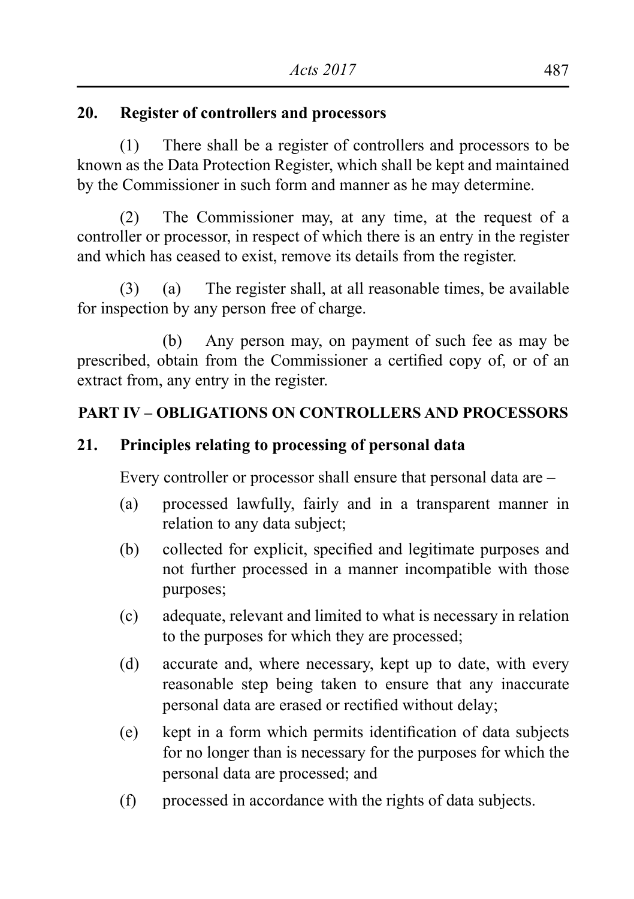### **20. Register of controllers and processors**

(1) There shall be a register of controllers and processors to be known as the Data Protection Register, which shall be kept and maintained by the Commissioner in such form and manner as he may determine.

 (2) The Commissioner may, at any time, at the request of a controller or processor, in respect of which there is an entry in the register and which has ceased to exist, remove its details from the register.

 $(3)$  (a) The register shall, at all reasonable times, be available for inspection by any person free of charge.

 (b) Any person may, on payment of such fee as may be prescribed, obtain from the Commissioner a certified copy of, or of an extract from, any entry in the register.

### **PART IV – OBLIGATIONS ON CONTROLLERS AND PROCESSORS**

### **21. Principles relating to processing of personal data**

Every controller or processor shall ensure that personal data are –

- (a) processed lawfully, fairly and in a transparent manner in relation to any data subject;
- (b) collected for explicit, specified and legitimate purposes and not further processed in a manner incompatible with those purposes;
- (c) adequate, relevant and limited to what is necessary in relation to the purposes for which they are processed;
- (d) accurate and, where necessary, kept up to date, with every reasonable step being taken to ensure that any inaccurate personal data are erased or rectified without delay;
- (e) kept in a form which permits identification of data subjects for no longer than is necessary for the purposes for which the personal data are processed; and
- (f) processed in accordance with the rights of data subjects.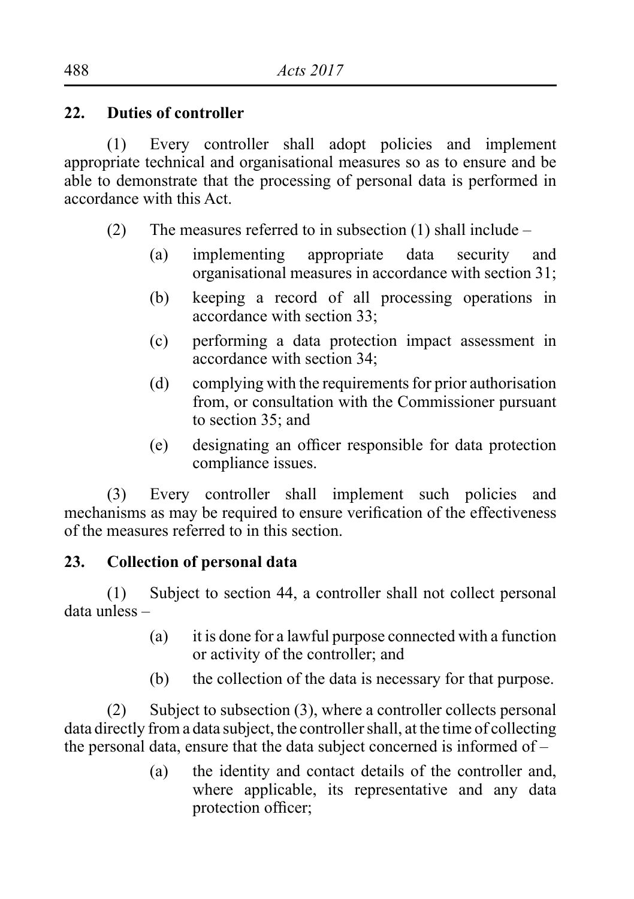### **22. Duties of controller**

(1) Every controller shall adopt policies and implement appropriate technical and organisational measures so as to ensure and be able to demonstrate that the processing of personal data is performed in accordance with this Act.

- (2) The measures referred to in subsection (1) shall include
	- (a) implementing appropriate data security and organisational measures in accordance with section 31;
	- (b) keeping a record of all processing operations in accordance with section 33;
	- (c) performing a data protection impact assessment in accordance with section 34;
	- (d) complying with the requirements for prior authorisation from, or consultation with the Commissioner pursuant to section 35; and
	- (e) designating an officer responsible for data protection compliance issues.

(3) Every controller shall implement such policies and mechanisms as may be required to ensure verification of the effectiveness of the measures referred to in this section.

# **23. Collection of personal data**

 (1) Subject to section 44, a controller shall not collect personal data unless –

- (a) it is done for a lawful purpose connected with a function or activity of the controller; and
- (b) the collection of the data is necessary for that purpose.

(2) Subject to subsection  $(3)$ , where a controller collects personal data directly from a data subject, the controllershall, at the time of collecting the personal data, ensure that the data subject concerned is informed of –

> (a) the identity and contact details of the controller and, where applicable, its representative and any data protection officer;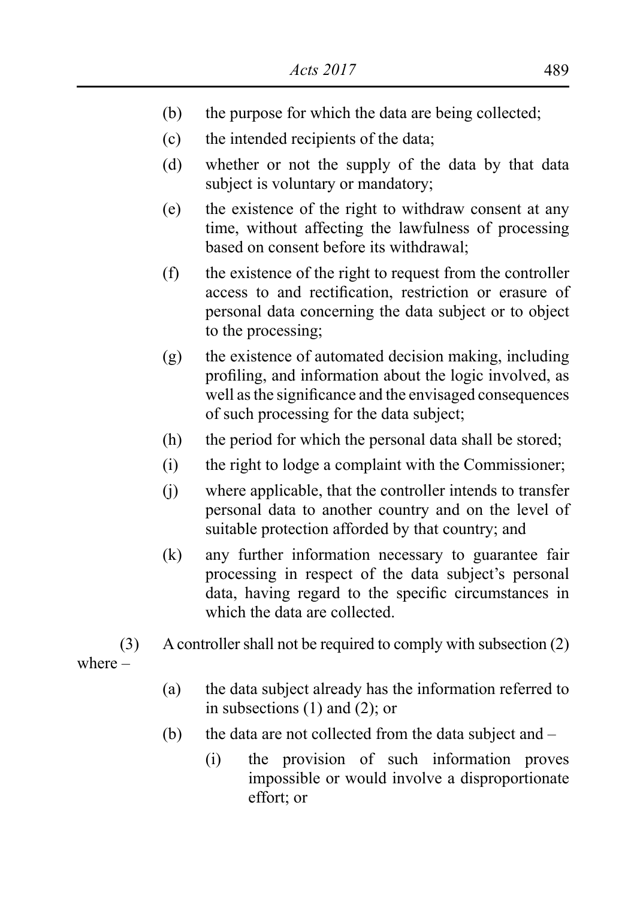- (b) the purpose for which the data are being collected;
- (c) the intended recipients of the data;
- (d) whether or not the supply of the data by that data subject is voluntary or mandatory;
- (e) the existence of the right to withdraw consent at any time, without affecting the lawfulness of processing based on consent before its withdrawal;
- (f) the existence of the right to request from the controller access to and rectification, restriction or erasure of personal data concerning the data subject or to object to the processing;
- $(g)$  the existence of automated decision making, including profiling, and information about the logic involved, as well asthe significance and the envisaged consequences of such processing for the data subject;
- (h) the period for which the personal data shall be stored;
- (i) the right to lodge a complaint with the Commissioner;
- (i) where applicable, that the controller intends to transfer personal data to another country and on the level of suitable protection afforded by that country; and
- (k) any further information necessary to guarantee fair processing in respect of the data subject's personal data, having regard to the specific circumstances in which the data are collected.
- (3) A controller shall not be required to comply with subsection (2) where –
	- (a) the data subject already has the information referred to in subsections (1) and (2); or
	- (b) the data are not collected from the data subject and  $-$ 
		- (i) the provision of such information proves impossible or would involve a disproportionate effort; or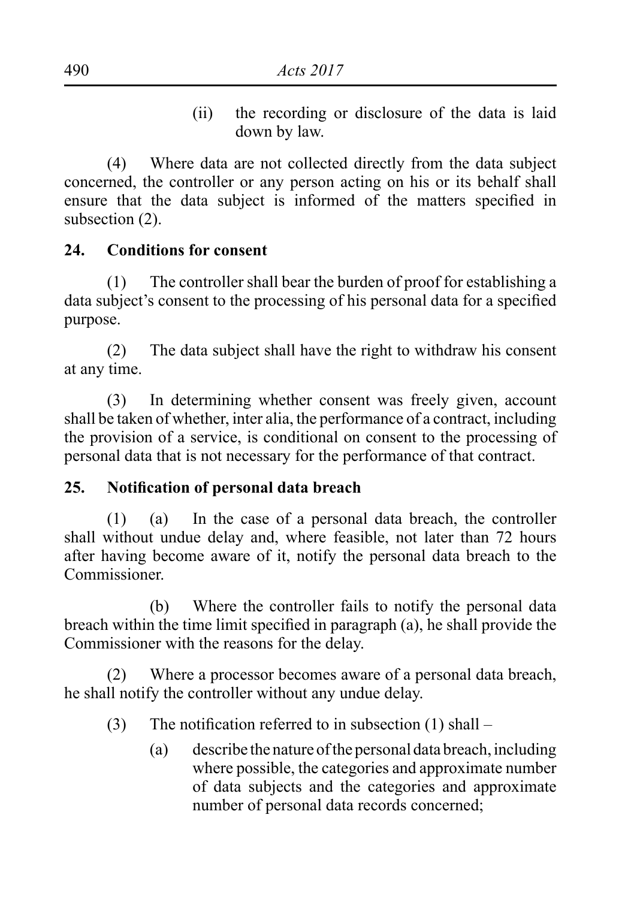(ii) the recording or disclosure of the data is laid down by law.

(4) Where data are not collected directly from the data subject concerned, the controller or any person acting on his or its behalf shall ensure that the data subject is informed of the matters specified in subsection (2).

#### **24. Conditions for consent**

(1) The controller shall bear the burden of proof for establishing a data subject's consent to the processing of his personal data for a specified purpose.

(2) The data subject shall have the right to withdraw his consent at any time.

 (3) In determining whether consent was freely given, account shall be taken of whether, inter alia, the performance of a contract, including the provision of a service, is conditional on consent to the processing of personal data that is not necessary for the performance of that contract.

#### **25. Notification of personal data breach**

 $(1)$  (a) In the case of a personal data breach, the controller shall without undue delay and, where feasible, not later than 72 hours after having become aware of it, notify the personal data breach to the Commissioner.

 (b) Where the controller fails to notify the personal data breach within the time limit specified in paragraph (a), he shall provide the Commissioner with the reasons for the delay.

(2) Where a processor becomes aware of a personal data breach, he shall notify the controller without any undue delay.

- (3) The notification referred to in subsection  $(1)$  shall
	- $(a)$  describe the nature of the personal data breach, including where possible, the categories and approximate number of data subjects and the categories and approximate number of personal data records concerned;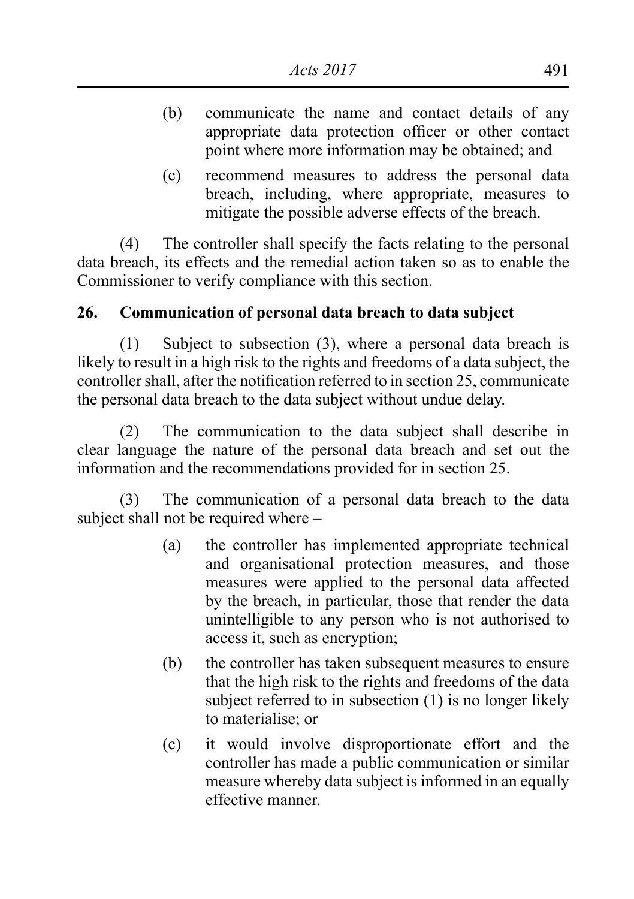- (b) communicate the name and contact details of any appropriate data protection officer or other contact point where more information may be obtained; and
- (c) recommend measures to address the personal data breach, including, where appropriate, measures to mitigate the possible adverse effects of the breach.

(4) The controller shall specify the facts relating to the personal data breach, its effects and the remedial action taken so as to enable the Commissioner to verify compliance with this section.

### **26. Communication of personal data breach to data subject**

 $(1)$  Subject to subsection  $(3)$ , where a personal data breach is likely to result in a high risk to the rights and freedoms of a data subject, the controller shall, after the notification referred to in section 25, communicate the personal data breach to the data subject without undue delay.

(2) The communication to the data subject shall describe in clear language the nature of the personal data breach and set out the information and the recommendations provided for in section 25.

(3) The communication of a personal data breach to the data subject shall not be required where –

- (a) the controller has implemented appropriate technical and organisational protection measures, and those measures were applied to the personal data affected by the breach, in particular, those that render the data unintelligible to any person who is not authorised to access it, such as encryption;
- (b) the controller has taken subsequent measures to ensure that the high risk to the rights and freedoms of the data subject referred to in subsection (1) is no longer likely to materialise; or
- (c) it would involve disproportionate effort and the controller has made a public communication or similar measure whereby data subject is informed in an equally effective manner.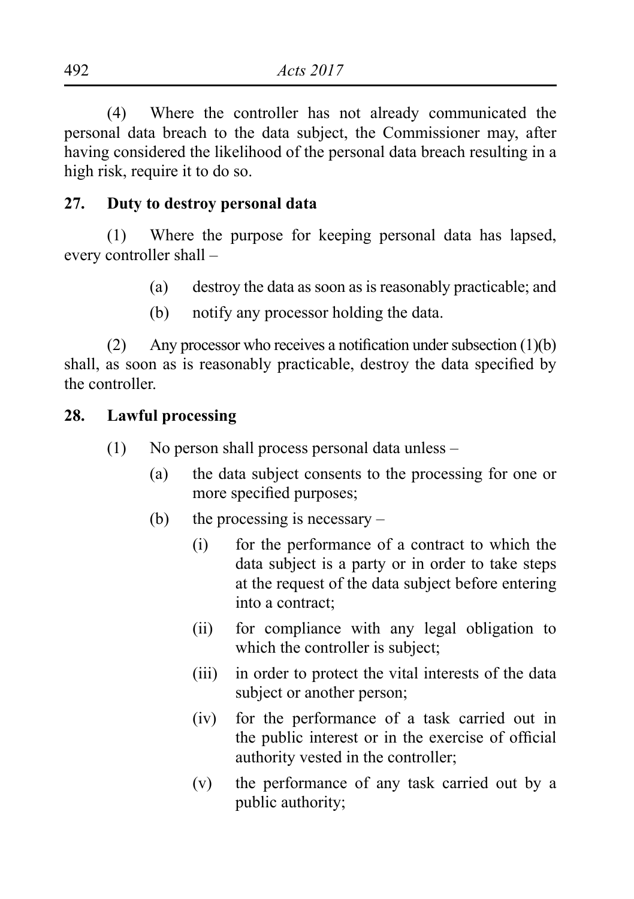(4) Where the controller has not already communicated the personal data breach to the data subject, the Commissioner may, after having considered the likelihood of the personal data breach resulting in a high risk, require it to do so.

#### **27. Duty to destroy personal data**

 (1) Where the purpose for keeping personal data has lapsed, every controller shall –

- (a) destroy the data as soon as is reasonably practicable; and
- (b) notify any processor holding the data.

(2) Any processor who receives a notification under subsection  $(1)(b)$ shall, as soon as is reasonably practicable, destroy the data specified by the controller.

#### **28. Lawful processing**

- (1) No person shall process personal data unless  $-$ 
	- (a) the data subject consents to the processing for one or more specified purposes;
	- (b) the processing is necessary  $-$ 
		- (i) for the performance of a contract to which the data subject is a party or in order to take steps at the request of the data subject before entering into a contract;
		- (ii) for compliance with any legal obligation to which the controller is subject;
		- (iii) in order to protect the vital interests of the data subject or another person;
		- (iv) for the performance of a task carried out in the public interest or in the exercise of official authority vested in the controller;
		- (v) the performance of any task carried out by a public authority;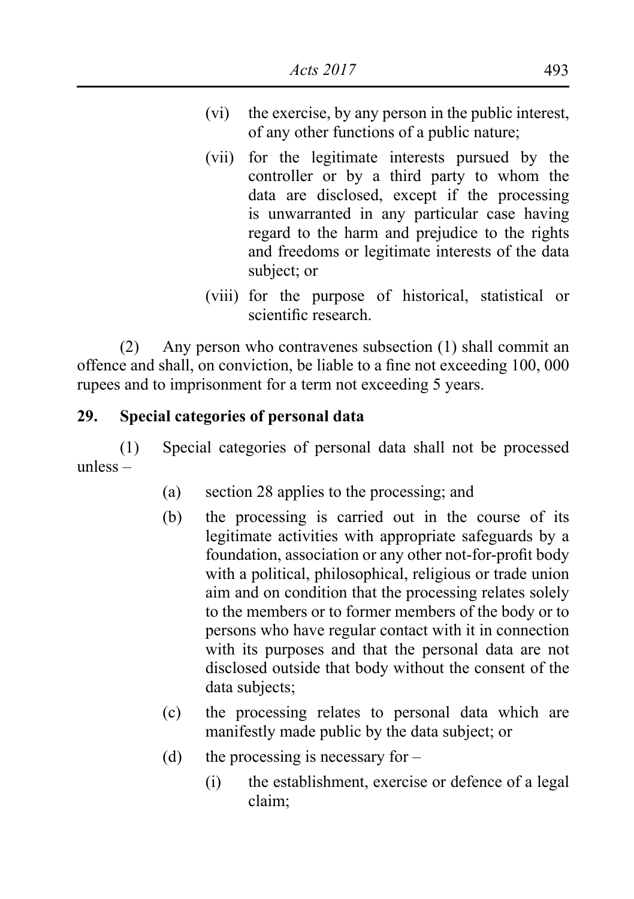- (vi) the exercise, by any person in the public interest, of any other functions of a public nature;
- (vii) for the legitimate interests pursued by the controller or by a third party to whom the data are disclosed, except if the processing is unwarranted in any particular case having regard to the harm and prejudice to the rights and freedoms or legitimate interests of the data subject; or
- (viii) for the purpose of historical, statistical or scientific research.

(2) Any person who contravenes subsection (1) shall commit an offence and shall, on conviction, be liable to a fine not exceeding 100, 000 rupees and to imprisonment for a term not exceeding 5 years.

### **29. Special categories of personal data**

(1) Special categories of personal data shall not be processed unless –

- (a) section 28 applies to the processing; and
- (b) the processing is carried out in the course of its legitimate activities with appropriate safeguards by a foundation, association or any other not-for-profit body with a political, philosophical, religious or trade union aim and on condition that the processing relates solely to the members or to former members of the body or to persons who have regular contact with it in connection with its purposes and that the personal data are not disclosed outside that body without the consent of the data subjects;
- (c) the processing relates to personal data which are manifestly made public by the data subject; or
- (d) the processing is necessary for  $-$ 
	- (i) the establishment, exercise or defence of a legal claim;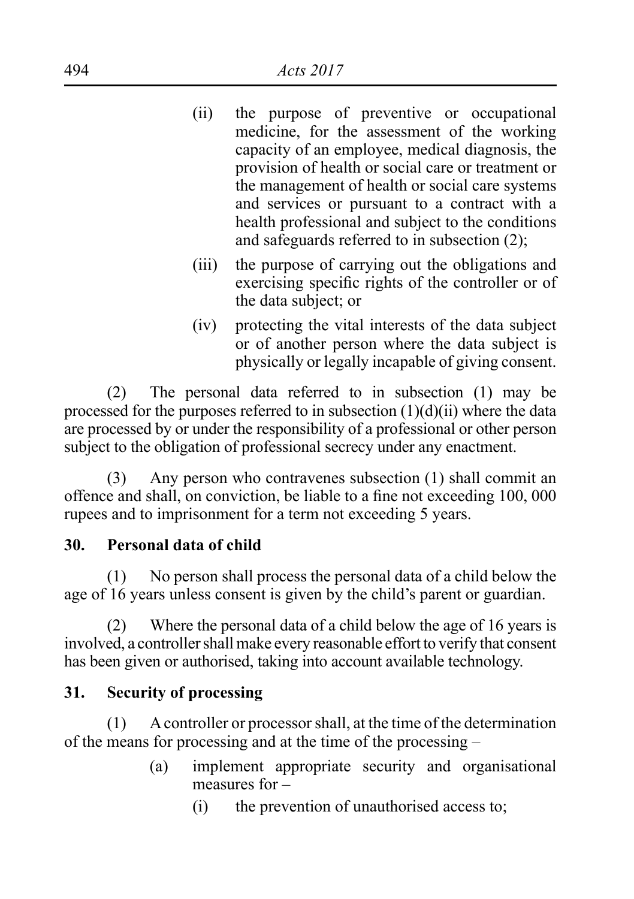| (ii) | the purpose of preventive or occupational          |
|------|----------------------------------------------------|
|      | medicine, for the assessment of the working        |
|      | capacity of an employee, medical diagnosis, the    |
|      | provision of health or social care or treatment or |
|      | the management of health or social care systems    |
|      | and services or pursuant to a contract with a      |
|      | health professional and subject to the conditions  |
|      | and safeguards referred to in subsection $(2)$ ;   |
|      |                                                    |

- (iii) the purpose of carrying out the obligations and exercising specific rights of the controller or of the data subject; or
- (iv) protecting the vital interests of the data subject or of another person where the data subject is physically or legally incapable of giving consent.

(2) The personal data referred to in subsection (1) may be processed for the purposes referred to in subsection (1)(d)(ii) where the data are processed by or under the responsibility of a professional or other person subject to the obligation of professional secrecy under any enactment.

(3) Any person who contravenes subsection (1) shall commit an offence and shall, on conviction, be liable to a fine not exceeding 100, 000 rupees and to imprisonment for a term not exceeding 5 years.

# **30. Personal data of child**

(1) No person shall process the personal data of a child below the age of 16 years unless consent is given by the child's parent or guardian.

(2) Where the personal data of a child below the age of 16 years is involved, a controller shall make every reasonable effort to verify that consent has been given or authorised, taking into account available technology.

# **31. Security of processing**

 (1) Acontroller or processorshall, at the time of the determination of the means for processing and at the time of the processing –

- (a) implement appropriate security and organisational measures for –
	- (i) the prevention of unauthorised access to;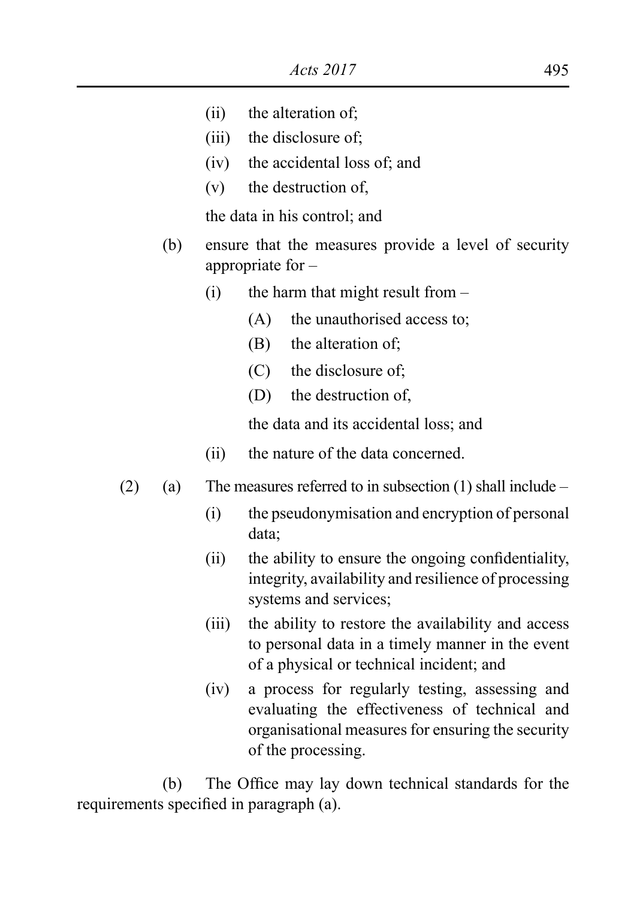- (ii) the alteration of;
- (iii) the disclosure of;
- (iv) the accidental loss of; and
- $(v)$  the destruction of  $\epsilon$

the data in his control; and

- (b) ensure that the measures provide a level of security appropriate for –
	- $(i)$  the harm that might result from  $-$ 
		- (A) the unauthorised access to;
		- (B) the alteration of;
		- (C) the disclosure of;
		- (D) the destruction of,

the data and its accidental loss; and

- (ii) the nature of the data concerned.
- (2) (a) The measures referred to in subsection (1) shall include
	- (i) the pseudonymisation and encryption of personal data;
	- (ii) the ability to ensure the ongoing confidentiality, integrity, availability and resilience of processing systems and services;
	- (iii) the ability to restore the availability and access to personal data in a timely manner in the event of a physical or technical incident; and
	- (iv) a process for regularly testing, assessing and evaluating the effectiveness of technical and organisational measures for ensuring the security of the processing.

 (b) The Office may lay down technical standards for the requirements specified in paragraph (a).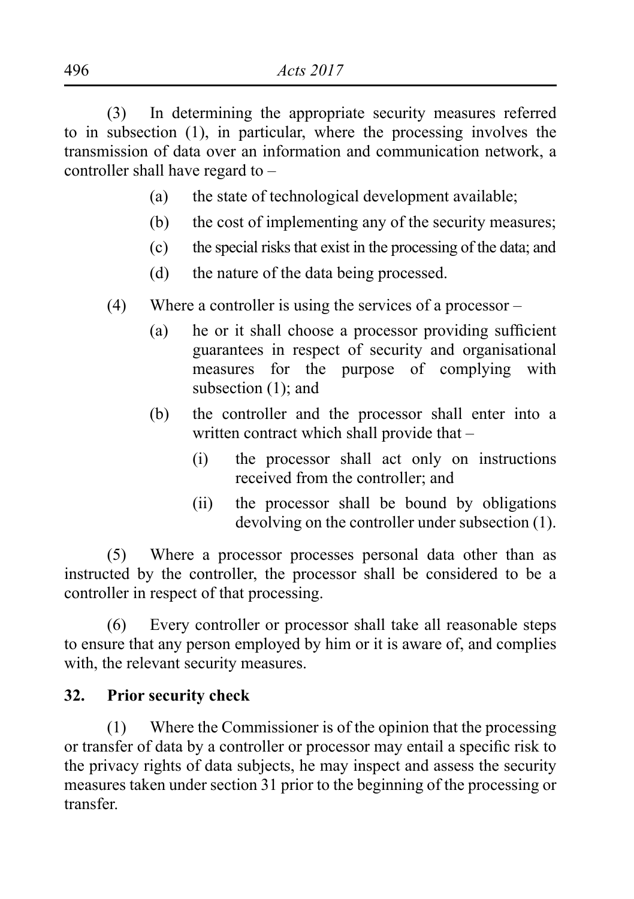(3) In determining the appropriate security measures referred to in subsection (1), in particular, where the processing involves the transmission of data over an information and communication network, a controller shall have regard to –

- (a) the state of technological development available;
- (b) the cost of implementing any of the security measures;
- (c) the special risks that exist in the processing of the data; and
- (d) the nature of the data being processed.
- (4) Where a controller is using the services of a processor
	- (a) he or it shall choose a processor providing sufficient guarantees in respect of security and organisational measures for the purpose of complying with subsection (1); and
	- (b) the controller and the processor shall enter into a written contract which shall provide that –
		- (i) the processor shall act only on instructions received from the controller; and
		- (ii) the processor shall be bound by obligations devolving on the controller under subsection (1).

(5) Where a processor processes personal data other than as instructed by the controller, the processor shall be considered to be a controller in respect of that processing.

(6) Every controller or processor shall take all reasonable steps to ensure that any person employed by him or it is aware of, and complies with, the relevant security measures.

### **32. Prior security check**

(1) Where the Commissioner is of the opinion that the processing or transfer of data by a controller or processor may entail a specific risk to the privacy rights of data subjects, he may inspect and assess the security measures taken under section 31 prior to the beginning of the processing or transfer.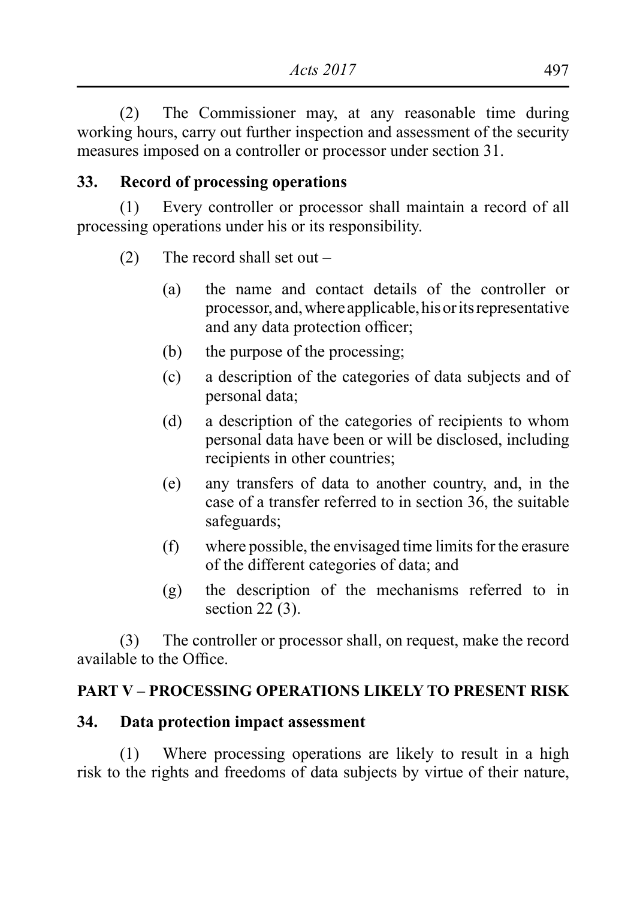(2) The Commissioner may, at any reasonable time during working hours, carry out further inspection and assessment of the security measures imposed on a controller or processor under section 31.

### **33. Record of processing operations**

(1) Every controller or processor shall maintain a record of all processing operations under his or its responsibility.

- (2) The record shall set out  $-$ 
	- (a) the name and contact details of the controller or processor, and,where applicable,hisoritsrepresentative and any data protection officer;
	- (b) the purpose of the processing;
	- (c) a description of the categories of data subjects and of personal data;
	- (d) a description of the categories of recipients to whom personal data have been or will be disclosed, including recipients in other countries;
	- (e) any transfers of data to another country, and, in the case of a transfer referred to in section 36, the suitable safeguards;
	- $(f)$  where possible, the envisaged time limits for the erasure of the different categories of data; and
	- (g) the description of the mechanisms referred to in section  $22(3)$ .

 (3) The controller or processor shall, on request, make the record available to the Office.

#### **PART V – PROCESSING OPERATIONS LIKELY TO PRESENT RISK**

#### **34. Data protection impact assessment**

(1) Where processing operations are likely to result in a high risk to the rights and freedoms of data subjects by virtue of their nature,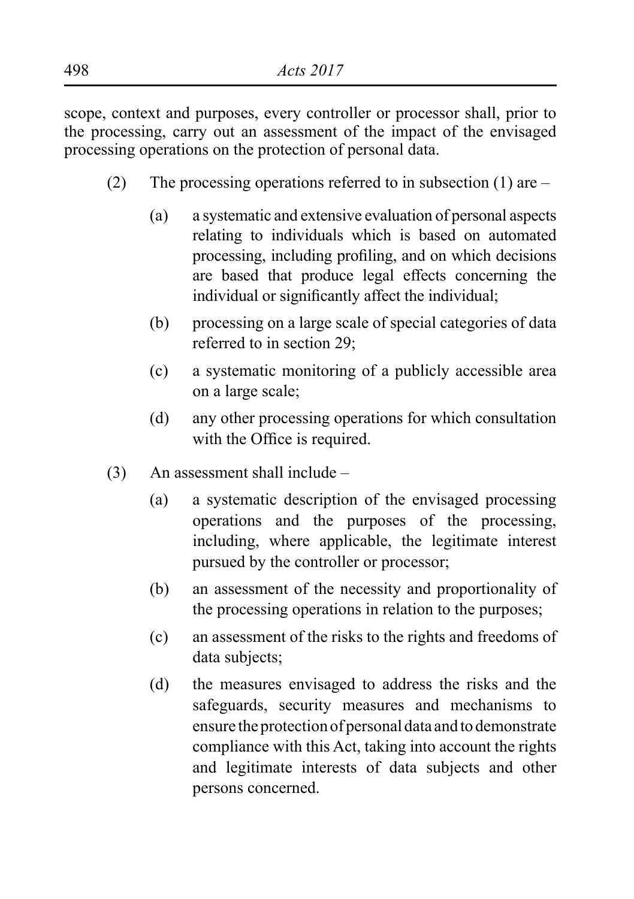scope, context and purposes, every controller or processor shall, prior to the processing, carry out an assessment of the impact of the envisaged processing operations on the protection of personal data.

- (2) The processing operations referred to in subsection (1) are  $-$ 
	- (a) a systematic and extensive evaluation of personal aspects relating to individuals which is based on automated processing, including profiling, and on which decisions are based that produce legal effects concerning the individual or significantly affect the individual;
	- (b) processing on a large scale of special categories of data referred to in section 29;
	- (c) a systematic monitoring of a publicly accessible area on a large scale;
	- (d) any other processing operations for which consultation with the Office is required.
- $(3)$  An assessment shall include
	- (a) a systematic description of the envisaged processing operations and the purposes of the processing, including, where applicable, the legitimate interest pursued by the controller or processor;
	- (b) an assessment of the necessity and proportionality of the processing operations in relation to the purposes;
	- (c) an assessment of the risks to the rights and freedoms of data subjects;
	- (d) the measures envisaged to address the risks and the safeguards, security measures and mechanisms to ensure the protection of personal data and to demonstrate compliance with this Act, taking into account the rights and legitimate interests of data subjects and other persons concerned.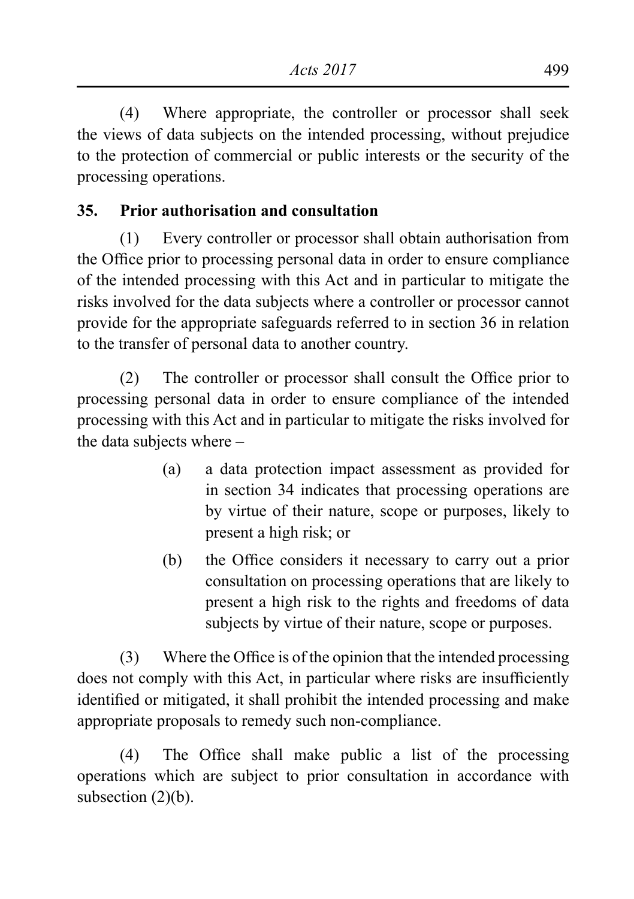(4) Where appropriate, the controller or processor shall seek the views of data subjects on the intended processing, without prejudice to the protection of commercial or public interests or the security of the processing operations.

# **35. Prior authorisation and consultation**

(1) Every controller or processor shall obtain authorisation from the Office prior to processing personal data in order to ensure compliance of the intended processing with this Act and in particular to mitigate the risks involved for the data subjects where a controller or processor cannot provide for the appropriate safeguards referred to in section 36 in relation to the transfer of personal data to another country.

 (2) The controller or processor shall consult the Office prior to processing personal data in order to ensure compliance of the intended processing with this Act and in particular to mitigate the risks involved for the data subjects where –

- (a) a data protection impact assessment as provided for in section 34 indicates that processing operations are by virtue of their nature, scope or purposes, likely to present a high risk; or
- (b) the Office considers it necessary to carry out a prior consultation on processing operations that are likely to present a high risk to the rights and freedoms of data subjects by virtue of their nature, scope or purposes.

(3) Where the Office is of the opinion that the intended processing does not comply with this Act, in particular where risks are insufficiently identified or mitigated, it shall prohibit the intended processing and make appropriate proposals to remedy such non-compliance.

 (4) The Office shall make public a list of the processing operations which are subject to prior consultation in accordance with subsection  $(2)(b)$ .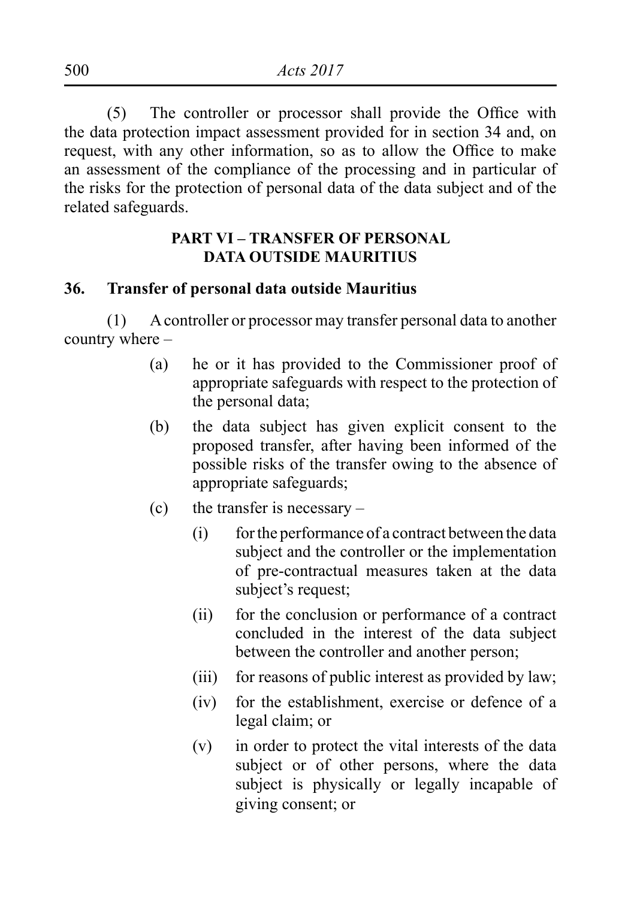(5) The controller or processor shall provide the Office with the data protection impact assessment provided for in section 34 and, on request, with any other information, so as to allow the Office to make an assessment of the compliance of the processing and in particular of the risks for the protection of personal data of the data subject and of the related safeguards.

### **PART VI – TRANSFER OF PERSONAL DATA OUTSIDE MAURITIUS**

#### **36. Transfer of personal data outside Mauritius**

(1) A controller or processor may transfer personal data to another country where –

- (a) he or it has provided to the Commissioner proof of appropriate safeguards with respect to the protection of the personal data;
- (b) the data subject has given explicit consent to the proposed transfer, after having been informed of the possible risks of the transfer owing to the absence of appropriate safeguards;
- $(c)$  the transfer is necessary
	- (i) for the performance of a contract between the data subject and the controller or the implementation of pre-contractual measures taken at the data subject's request:
	- (ii) for the conclusion or performance of a contract concluded in the interest of the data subject between the controller and another person;
	- (iii) for reasons of public interest as provided by law;
	- (iv) for the establishment, exercise or defence of a legal claim; or
	- (v) in order to protect the vital interests of the data subject or of other persons, where the data subject is physically or legally incapable of giving consent; or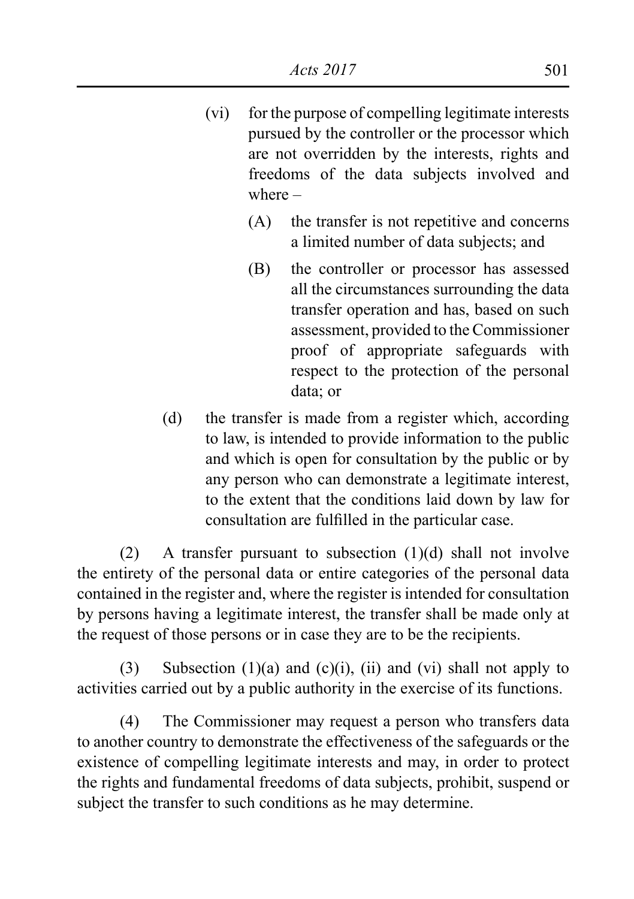- (vi) for the purpose of compelling legitimate interests pursued by the controller or the processor which are not overridden by the interests, rights and freedoms of the data subjects involved and where –
	- (A) the transfer is not repetitive and concerns a limited number of data subjects; and
	- (B) the controller or processor has assessed all the circumstances surrounding the data transfer operation and has, based on such assessment, provided to the Commissioner proof of appropriate safeguards with respect to the protection of the personal data; or
- (d) the transfer is made from a register which, according to law, is intended to provide information to the public and which is open for consultation by the public or by any person who can demonstrate a legitimate interest, to the extent that the conditions laid down by law for consultation are fulfilled in the particular case.

(2) A transfer pursuant to subsection (1)(d) shall not involve the entirety of the personal data or entire categories of the personal data contained in the register and, where the register is intended for consultation by persons having a legitimate interest, the transfer shall be made only at the request of those persons or in case they are to be the recipients.

(3) Subsection (1)(a) and (c)(i), (ii) and (vi) shall not apply to activities carried out by a public authority in the exercise of its functions.

(4) The Commissioner may request a person who transfers data to another country to demonstrate the effectiveness of the safeguards or the existence of compelling legitimate interests and may, in order to protect the rights and fundamental freedoms of data subjects, prohibit, suspend or subject the transfer to such conditions as he may determine.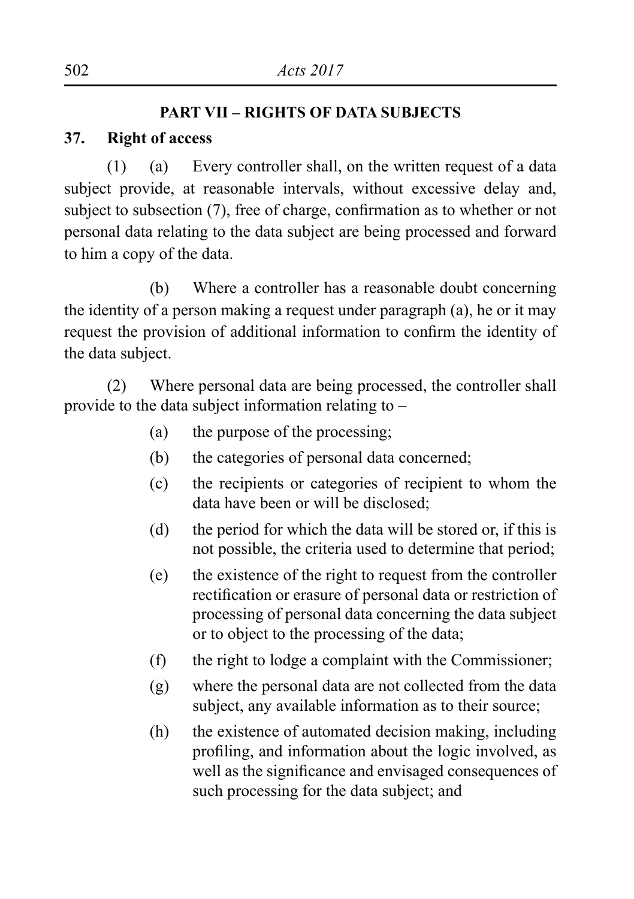#### **PART VII – RIGHTS OF DATA SUBJECTS**

### **37. Right of access**

 $(1)$  (a) Every controller shall, on the written request of a data subject provide, at reasonable intervals, without excessive delay and, subject to subsection (7), free of charge, confirmation as to whether or not personal data relating to the data subject are being processed and forward to him a copy of the data.

 (b) Where a controller has a reasonable doubt concerning the identity of a person making a request under paragraph (a), he or it may request the provision of additional information to confirm the identity of the data subject.

(2) Where personal data are being processed, the controller shall provide to the data subject information relating to –

- (a) the purpose of the processing;
- (b) the categories of personal data concerned;
- (c) the recipients or categories of recipient to whom the data have been or will be disclosed:
- (d) the period for which the data will be stored or, if this is not possible, the criteria used to determine that period;
- (e) the existence of the right to request from the controller rectification or erasure of personal data or restriction of processing of personal data concerning the data subject or to object to the processing of the data;
- (f) the right to lodge a complaint with the Commissioner;
- (g) where the personal data are not collected from the data subject, any available information as to their source;
- (h) the existence of automated decision making, including profiling, and information about the logic involved, as well as the significance and envisaged consequences of such processing for the data subject; and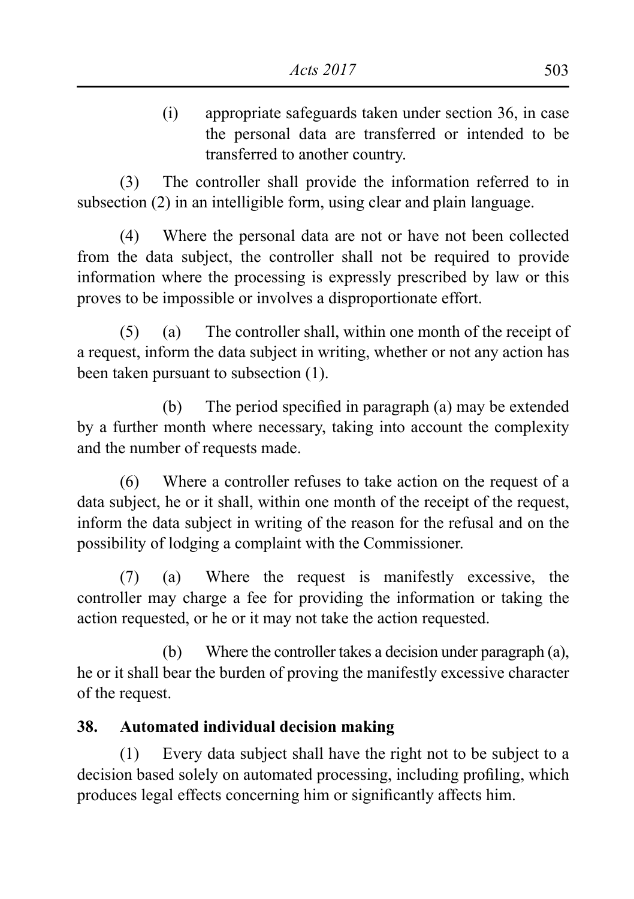(i) appropriate safeguards taken under section 36, in case the personal data are transferred or intended to be transferred to another country.

(3) The controller shall provide the information referred to in subsection (2) in an intelligible form, using clear and plain language.

(4) Where the personal data are not or have not been collected from the data subject, the controller shall not be required to provide information where the processing is expressly prescribed by law or this proves to be impossible or involves a disproportionate effort.

(5) (a) The controller shall, within one month of the receipt of a request, inform the data subject in writing, whether or not any action has been taken pursuant to subsection (1).

 (b) The period specified in paragraph (a) may be extended by a further month where necessary, taking into account the complexity and the number of requests made.

(6) Where a controller refuses to take action on the request of a data subject, he or it shall, within one month of the receipt of the request, inform the data subject in writing of the reason for the refusal and on the possibility of lodging a complaint with the Commissioner.

 (7) (a) Where the request is manifestly excessive, the controller may charge a fee for providing the information or taking the action requested, or he or it may not take the action requested.

(b) Where the controller takes a decision under paragraph (a), he or it shall bear the burden of proving the manifestly excessive character of the request.

# **38. Automated individual decision making**

(1) Every data subject shall have the right not to be subject to a decision based solely on automated processing, including profiling, which produces legal effects concerning him or significantly affects him.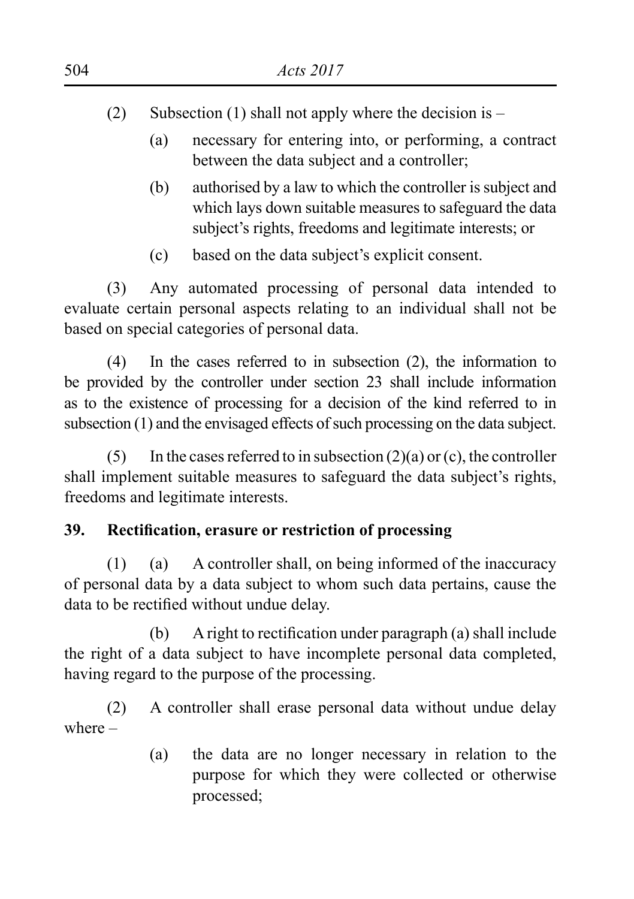- (2) Subsection (1) shall not apply where the decision is  $-$ 
	- (a) necessary for entering into, or performing, a contract between the data subject and a controller;
	- (b) authorised by a law to which the controller is subject and which lays down suitable measures to safeguard the data subject's rights, freedoms and legitimate interests; or
	- (c) based on the data subject's explicit consent.

(3) Any automated processing of personal data intended to evaluate certain personal aspects relating to an individual shall not be based on special categories of personal data.

 (4) In the cases referred to in subsection (2), the information to be provided by the controller under section 23 shall include information as to the existence of processing for a decision of the kind referred to in subsection (1) and the envisaged effects of such processing on the data subject.

(5) In the cases referred to in subsection  $(2)(a)$  or  $(c)$ , the controller shall implement suitable measures to safeguard the data subject's rights, freedoms and legitimate interests.

# **39. Rectification, erasure or restriction of processing**

 $(1)$  (a) A controller shall, on being informed of the inaccuracy of personal data by a data subject to whom such data pertains, cause the data to be rectified without undue delay.

 (b) Aright to rectification under paragraph (a) shall include the right of a data subject to have incomplete personal data completed, having regard to the purpose of the processing.

(2) A controller shall erase personal data without undue delay where –

> (a) the data are no longer necessary in relation to the purpose for which they were collected or otherwise processed;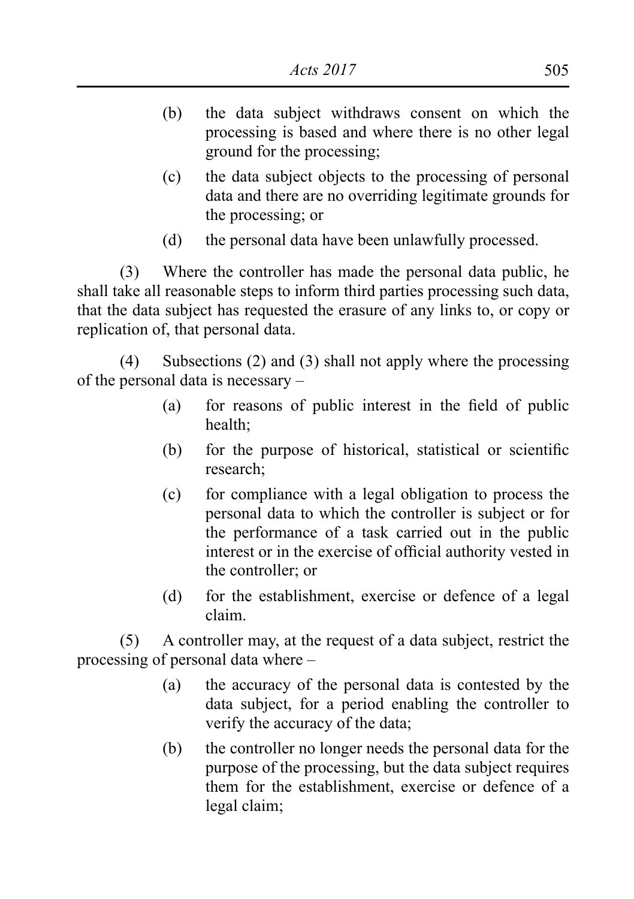- (b) the data subject withdraws consent on which the processing is based and where there is no other legal ground for the processing;
- (c) the data subject objects to the processing of personal data and there are no overriding legitimate grounds for the processing; or
- (d) the personal data have been unlawfully processed.

(3) Where the controller has made the personal data public, he shall take all reasonable steps to inform third parties processing such data, that the data subject has requested the erasure of any links to, or copy or replication of, that personal data.

(4) Subsections (2) and (3) shall not apply where the processing of the personal data is necessary –

- (a) for reasons of public interest in the field of public health;
- (b) for the purpose of historical, statistical or scientific research;
- (c) for compliance with a legal obligation to process the personal data to which the controller is subject or for the performance of a task carried out in the public interest or in the exercise of official authority vested in the controller; or
- (d) for the establishment, exercise or defence of a legal claim.

 (5) A controller may, at the request of a data subject, restrict the processing of personal data where –

- (a) the accuracy of the personal data is contested by the data subject, for a period enabling the controller to verify the accuracy of the data;
- (b) the controller no longer needs the personal data for the purpose of the processing, but the data subject requires them for the establishment, exercise or defence of a legal claim;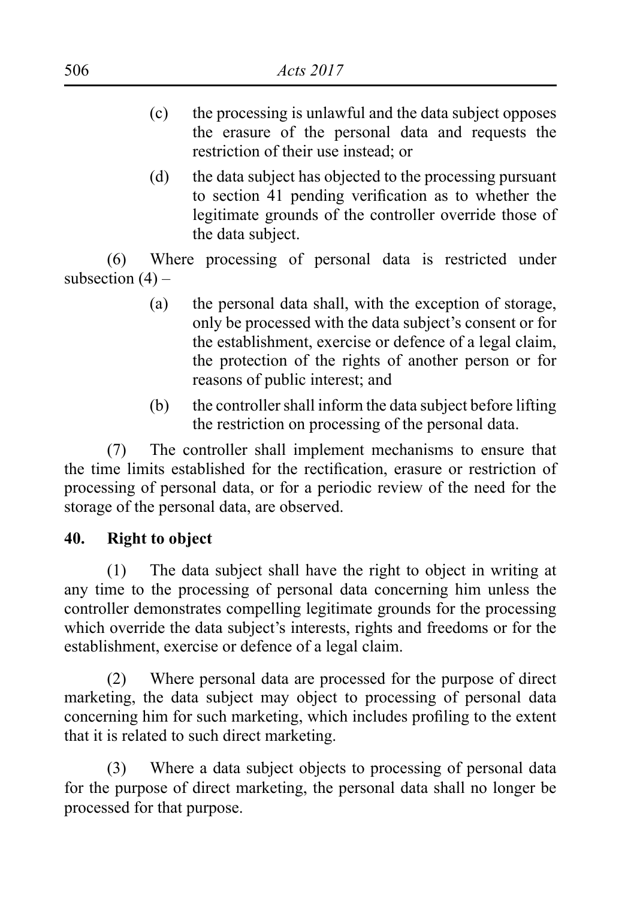- (c) the processing is unlawful and the data subject opposes the erasure of the personal data and requests the restriction of their use instead; or
- (d) the data subject has objected to the processing pursuant to section 41 pending verification as to whether the legitimate grounds of the controller override those of the data subject.

(6) Where processing of personal data is restricted under subsection  $(4)$  –

- (a) the personal data shall, with the exception of storage, only be processed with the data subject's consent or for the establishment, exercise or defence of a legal claim, the protection of the rights of another person or for reasons of public interest; and
- (b) the controller shall inform the data subject before lifting the restriction on processing of the personal data.

(7) The controller shall implement mechanisms to ensure that the time limits established for the rectification, erasure or restriction of processing of personal data, or for a periodic review of the need for the storage of the personal data, are observed.

### **40. Right to object**

(1) The data subject shall have the right to object in writing at any time to the processing of personal data concerning him unless the controller demonstrates compelling legitimate grounds for the processing which override the data subject's interests, rights and freedoms or for the establishment, exercise or defence of a legal claim.

(2) Where personal data are processed for the purpose of direct marketing, the data subject may object to processing of personal data concerning him for such marketing, which includes profiling to the extent that it is related to such direct marketing.

(3) Where a data subject objects to processing of personal data for the purpose of direct marketing, the personal data shall no longer be processed for that purpose.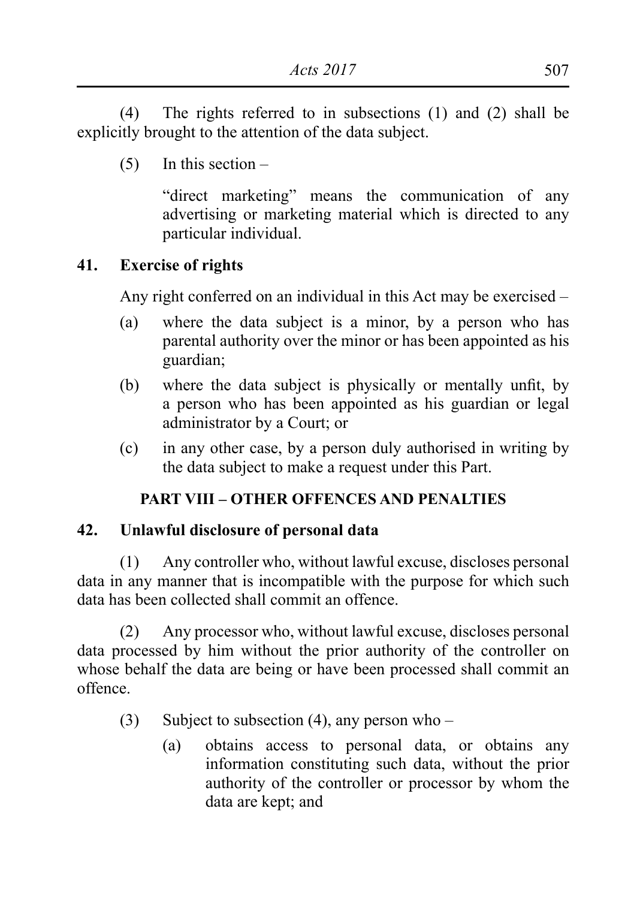(4) The rights referred to in subsections (1) and (2) shall be explicitly brought to the attention of the data subject.

 $(5)$  In this section –

 "direct marketing" means the communication of any advertising or marketing material which is directed to any particular individual.

### **41. Exercise of rights**

Any right conferred on an individual in this Act may be exercised –

- (a) where the data subject is a minor, by a person who has parental authority over the minor or has been appointed as his guardian;
- (b) where the data subject is physically or mentally unfit, by a person who has been appointed as his guardian or legal administrator by a Court; or
- (c) in any other case, by a person duly authorised in writing by the data subject to make a request under this Part.

#### **PART VIII – OTHER OFFENCES AND PENALTIES**

#### **42. Unlawful disclosure of personal data**

 $(1)$  Any controller who, without lawful excuse, discloses personal data in any manner that is incompatible with the purpose for which such data has been collected shall commit an offence.

 (2) Any processor who, without lawful excuse, discloses personal data processed by him without the prior authority of the controller on whose behalf the data are being or have been processed shall commit an offence.

- (3) Subject to subsection (4), any person who
	- (a) obtains access to personal data, or obtains any information constituting such data, without the prior authority of the controller or processor by whom the data are kept; and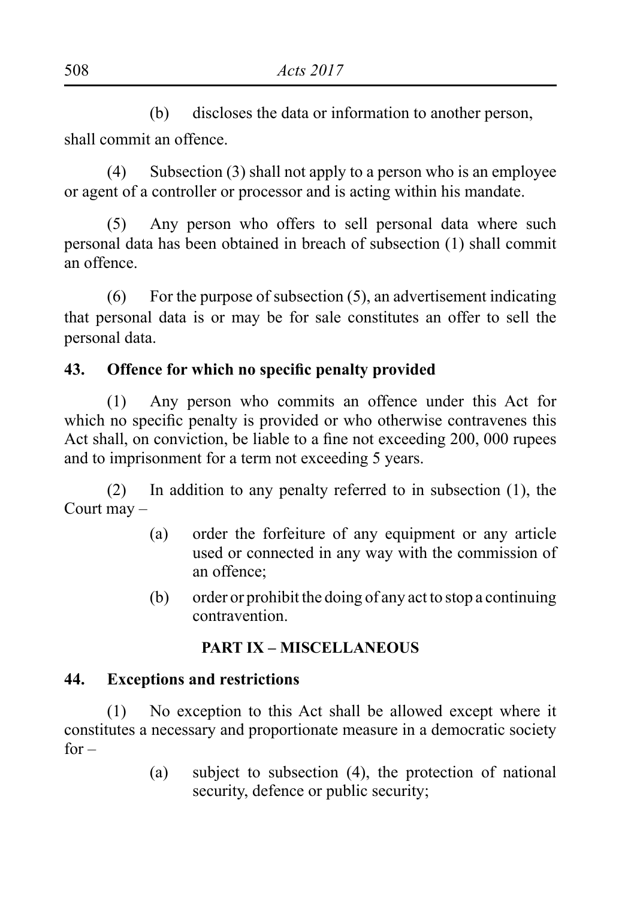(b) discloses the data or information to another person, shall commit an offence.

(4) Subsection (3) shall not apply to a person who is an employee or agent of a controller or processor and is acting within his mandate.

(5) Any person who offers to sell personal data where such personal data has been obtained in breach of subsection (1) shall commit an offence.

(6) For the purpose of subsection (5), an advertisement indicating that personal data is or may be for sale constitutes an offer to sell the personal data.

### **43. Offence for which no specific penalty provided**

(1) Any person who commits an offence under this Act for which no specific penalty is provided or who otherwise contravenes this Act shall, on conviction, be liable to a fine not exceeding 200, 000 rupees and to imprisonment for a term not exceeding 5 years.

 $(2)$  In addition to any penalty referred to in subsection  $(1)$ , the Court may –

- (a) order the forfeiture of any equipment or any article used or connected in any way with the commission of an offence;
- (b) order or prohibit the doing of any act to stop a continuing contravention.

### **PART IX – MISCELLANEOUS**

### **44. Exceptions and restrictions**

(1) No exception to this Act shall be allowed except where it constitutes a necessary and proportionate measure in a democratic society  $for -$ 

> (a) subject to subsection (4), the protection of national security, defence or public security;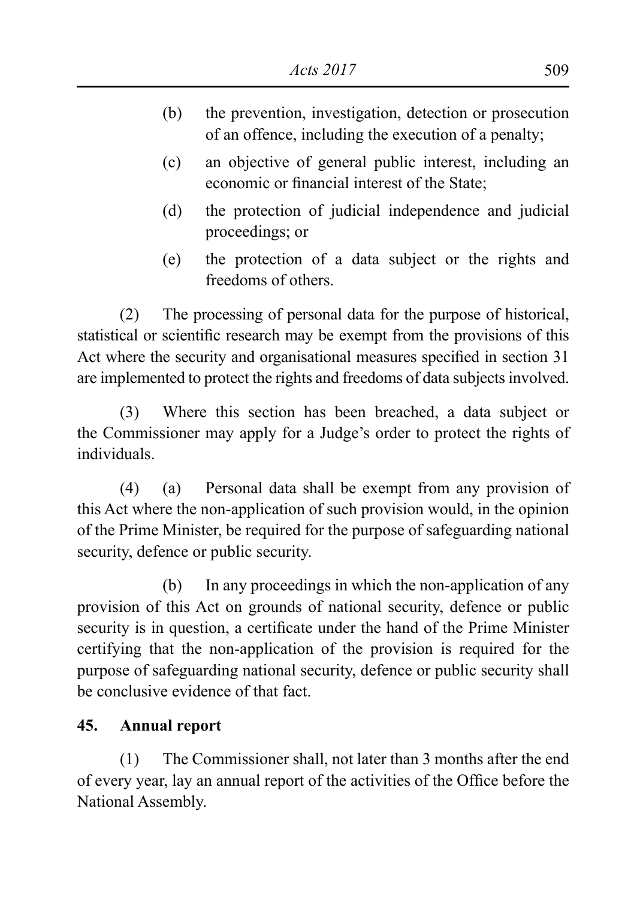- (b) the prevention, investigation, detection or prosecution of an offence, including the execution of a penalty;
- (c) an objective of general public interest, including an economic or financial interest of the State;
- (d) the protection of judicial independence and judicial proceedings; or
- (e) the protection of a data subject or the rights and freedoms of others.

 (2) The processing of personal data for the purpose of historical, statistical or scientific research may be exempt from the provisions of this Act where the security and organisational measures specified in section 31 are implemented to protect the rights and freedoms of data subjects involved.

 (3) Where this section has been breached, a data subject or the Commissioner may apply for a Judge's order to protect the rights of individuals.

(4) (a) Personal data shall be exempt from any provision of this Act where the non-application of such provision would, in the opinion of the Prime Minister, be required for the purpose of safeguarding national security, defence or public security.

 (b) In any proceedings in which the non-application of any provision of this Act on grounds of national security, defence or public security is in question, a certificate under the hand of the Prime Minister certifying that the non-application of the provision is required for the purpose of safeguarding national security, defence or public security shall be conclusive evidence of that fact.

# **45. Annual report**

 (1) The Commissioner shall, not later than 3 months after the end of every year, lay an annual report of the activities of the Office before the National Assembly.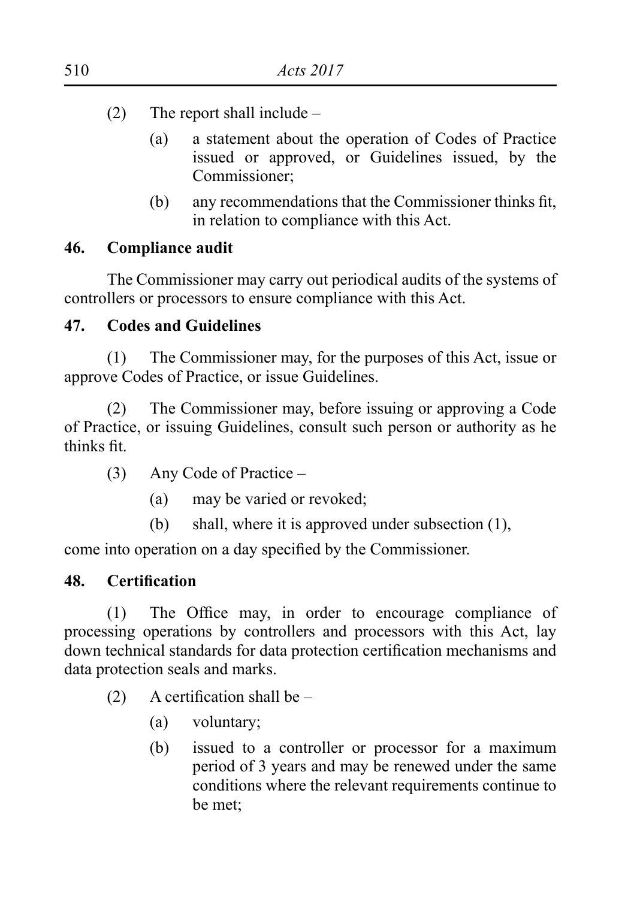- (2) The report shall include  $-$ 
	- (a) a statement about the operation of Codes of Practice issued or approved, or Guidelines issued, by the Commissioner;
	- (b) any recommendations that the Commissioner thinks fit, in relation to compliance with this Act.

### **46. Compliance audit**

The Commissioner may carry out periodical audits of the systems of controllers or processors to ensure compliance with this Act.

### **47. Codes and Guidelines**

 (1) The Commissioner may, for the purposes of this Act, issue or approve Codes of Practice, or issue Guidelines.

 (2) The Commissioner may, before issuing or approving a Code of Practice, or issuing Guidelines, consult such person or authority as he thinks fit.

- $(3)$  Any Code of Practice
	- (a) may be varied or revoked;
	- (b) shall, where it is approved under subsection (1),

come into operation on a day specified by the Commissioner.

### **48. Certification**

 (1) The Office may, in order to encourage compliance of processing operations by controllers and processors with this Act, lay down technical standards for data protection certification mechanisms and data protection seals and marks.

- (2) A certification shall be  $-$ 
	- (a) voluntary;
	- (b) issued to a controller or processor for a maximum period of 3 years and may be renewed under the same conditions where the relevant requirements continue to be met;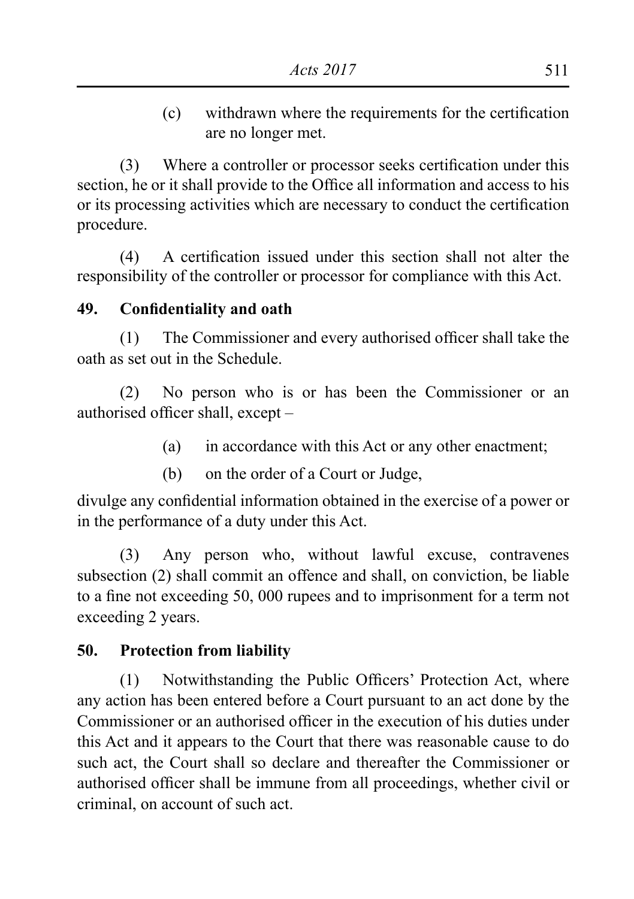(c) withdrawn where the requirements for the certification are no longer met.

(3) Where a controller or processor seeks certification under this section, he or it shall provide to the Office all information and access to his or its processing activities which are necessary to conduct the certification procedure.

 (4) A certification issued under this section shall not alter the responsibility of the controller or processor for compliance with this Act.

### **49. Confidentiality and oath**

 (1) The Commissioner and every authorised officer shall take the oath as set out in the Schedule.

(2) No person who is or has been the Commissioner or an authorised officer shall, except –

- (a) in accordance with this Act or any other enactment;
- (b) on the order of a Court or Judge,

divulge any confidential information obtained in the exercise of a power or in the performance of a duty under this Act.

 (3) Any person who, without lawful excuse, contravenes subsection (2) shall commit an offence and shall, on conviction, be liable to a fine not exceeding 50, 000 rupees and to imprisonment for a term not exceeding 2 years.

### **50. Protection from liability**

 (1) Notwithstanding the Public Officers' Protection Act, where any action has been entered before a Court pursuant to an act done by the Commissioner or an authorised officer in the execution of his duties under this Act and it appears to the Court that there was reasonable cause to do such act, the Court shall so declare and thereafter the Commissioner or authorised officer shall be immune from all proceedings, whether civil or criminal, on account of such act.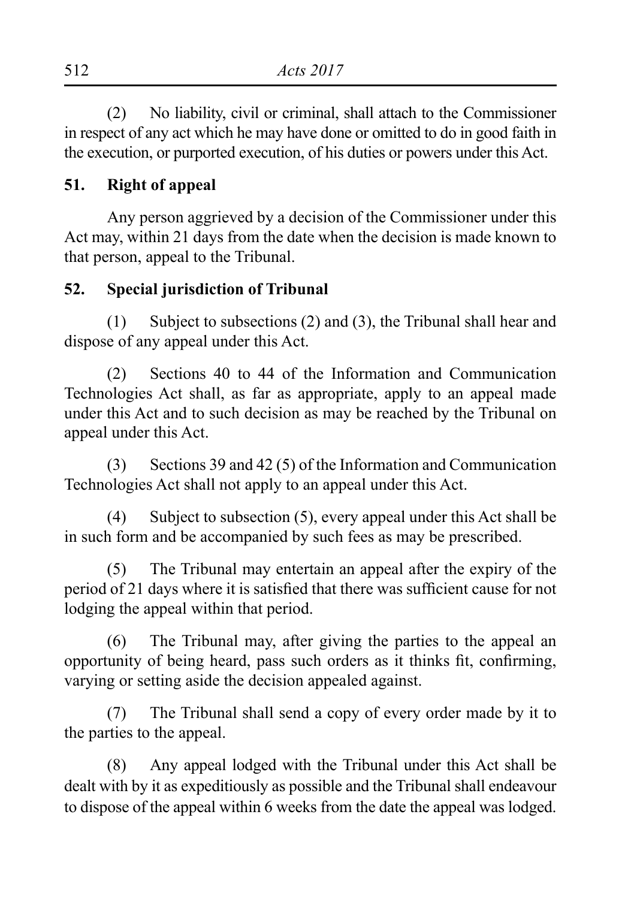(2) No liability, civil or criminal, shall attach to the Commissioner in respect of any act which he may have done or omitted to do in good faith in the execution, or purported execution, of his duties or powers under this Act.

### **51. Right of appeal**

Any person aggrieved by a decision of the Commissioner under this Act may, within 21 days from the date when the decision is made known to that person, appeal to the Tribunal.

#### **52. Special jurisdiction of Tribunal**

(1) Subject to subsections (2) and (3), the Tribunal shall hear and dispose of any appeal under this Act.

(2) Sections 40 to 44 of the Information and Communication Technologies Act shall, as far as appropriate, apply to an appeal made under this Act and to such decision as may be reached by the Tribunal on appeal under this Act.

(3) Sections 39 and 42 (5) of the Information and Communication Technologies Act shall not apply to an appeal under this Act.

(4) Subject to subsection  $(5)$ , every appeal under this Act shall be in such form and be accompanied by such fees as may be prescribed.

(5) The Tribunal may entertain an appeal after the expiry of the period of 21 days where it is satisfied that there was sufficient cause for not lodging the appeal within that period.

 (6) The Tribunal may, after giving the parties to the appeal an opportunity of being heard, pass such orders as it thinks fit, confirming, varying or setting aside the decision appealed against.

(7) The Tribunal shall send a copy of every order made by it to the parties to the appeal.

(8) Any appeal lodged with the Tribunal under this Act shall be dealt with by it as expeditiously as possible and the Tribunal shall endeavour to dispose of the appeal within 6 weeks from the date the appeal was lodged.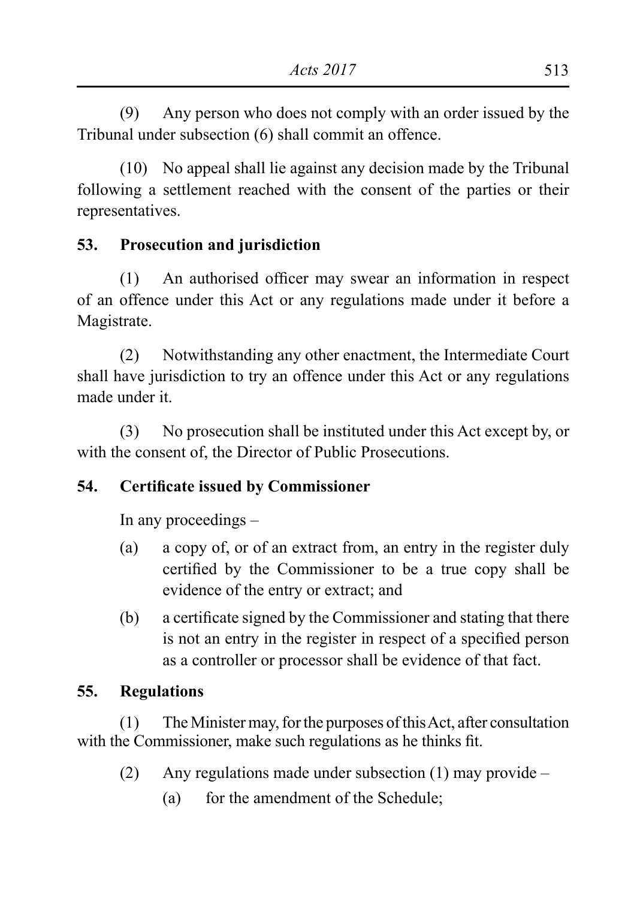(9) Any person who does not comply with an order issued by the Tribunal under subsection (6) shall commit an offence.

(10) No appeal shall lie against any decision made by the Tribunal following a settlement reached with the consent of the parties or their representatives.

# **53. Prosecution and jurisdiction**

(1) An authorised officer may swear an information in respect of an offence under this Act or any regulations made under it before a Magistrate.

 (2) Notwithstanding any other enactment, the Intermediate Court shall have jurisdiction to try an offence under this Act or any regulations made under it.

 (3) No prosecution shall be instituted under this Act except by, or with the consent of, the Director of Public Prosecutions.

# **54. Certificate issued by Commissioner**

In any proceedings –

- (a) a copy of, or of an extract from, an entry in the register duly certified by the Commissioner to be a true copy shall be evidence of the entry or extract; and
- (b) a certificate signed by the Commissioner and stating that there is not an entry in the register in respect of a specified person as a controller or processor shall be evidence of that fact.

# **55. Regulations**

 $(1)$  The Minister may, for the purposes of this Act, after consultation with the Commissioner, make such regulations as he thinks fit.

- (2) Any regulations made under subsection (1) may provide  $-$ 
	- (a) for the amendment of the Schedule;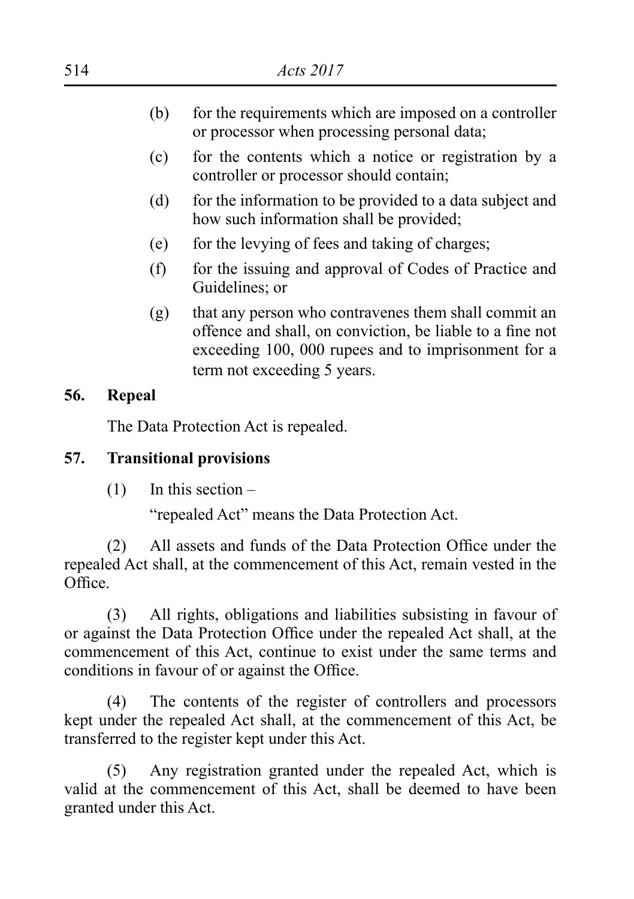- (b) for the requirements which are imposed on a controller or processor when processing personal data;
- (c) for the contents which a notice or registration by a controller or processor should contain;
- (d) for the information to be provided to a data subject and how such information shall be provided;
- (e) for the levying of fees and taking of charges;
- (f) for the issuing and approval of Codes of Practice and Guidelines; or
- (g) that any person who contravenes them shall commit an offence and shall, on conviction, be liable to a fine not exceeding 100, 000 rupees and to imprisonment for a term not exceeding 5 years.

#### **56. Repeal**

The Data Protection Act is repealed.

### **57. Transitional provisions**

 $(1)$  In this section –

"repealed Act" means the Data Protection Act.

 (2) All assets and funds of the Data Protection Office under the repealed Act shall, at the commencement of this Act, remain vested in the Office.

 (3) All rights, obligations and liabilities subsisting in favour of or against the Data Protection Office under the repealed Act shall, at the commencement of this Act, continue to exist under the same terms and conditions in favour of or against the Office.

(4) The contents of the register of controllers and processors kept under the repealed Act shall, at the commencement of this Act, be transferred to the register kept under this Act.

 (5) Any registration granted under the repealed Act, which is valid at the commencement of this Act, shall be deemed to have been granted under this Act.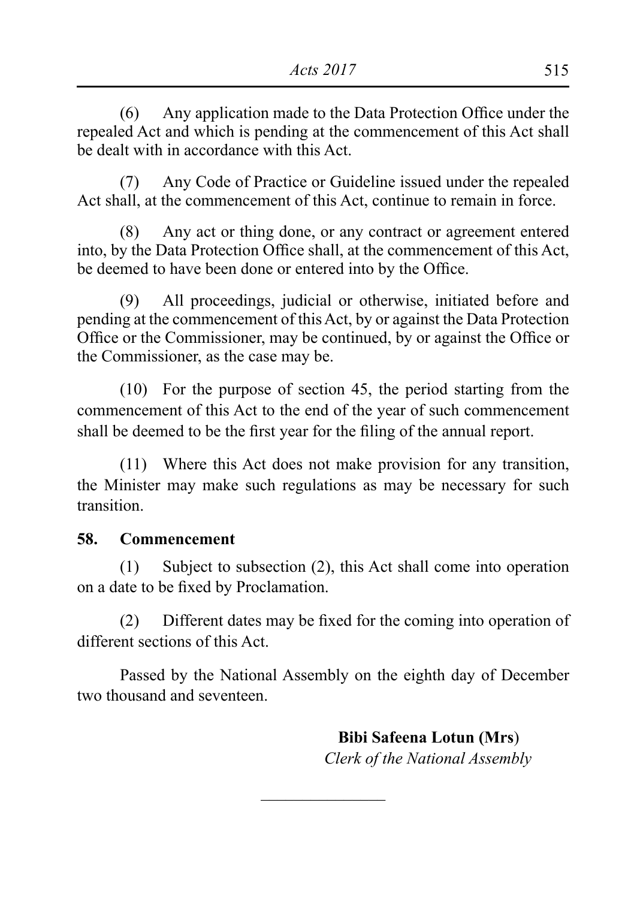(6) Any application made to the Data Protection Office under the repealed Act and which is pending at the commencement of this Act shall be dealt with in accordance with this Act.

 (7) Any Code of Practice or Guideline issued under the repealed Act shall, at the commencement of this Act, continue to remain in force.

 (8) Any act or thing done, or any contract or agreement entered into, by the Data Protection Office shall, at the commencement of this Act, be deemed to have been done or entered into by the Office.

 (9) All proceedings, judicial or otherwise, initiated before and pending at the commencement of thisAct, by or against the Data Protection Office or the Commissioner, may be continued, by or against the Office or the Commissioner, as the case may be.

 $(10)$  For the purpose of section 45, the period starting from the commencement of this Act to the end of the year of such commencement shall be deemed to be the first year for the filing of the annual report.

 (11) Where this Act does not make provision for any transition, the Minister may make such regulations as may be necessary for such transition.

### **58. Commencement**

(1) Subject to subsection  $(2)$ , this Act shall come into operation on a date to be fixed by Proclamation.

 (2) Different dates may be fixed for the coming into operation of different sections of this Act.

Passed by the National Assembly on the eighth day of December two thousand and seventeen.

 $\overline{\phantom{a}}$  , where  $\overline{\phantom{a}}$ 

 **Bibi Safeena Lotun (Mrs**)  *Clerk of the National Assembly*